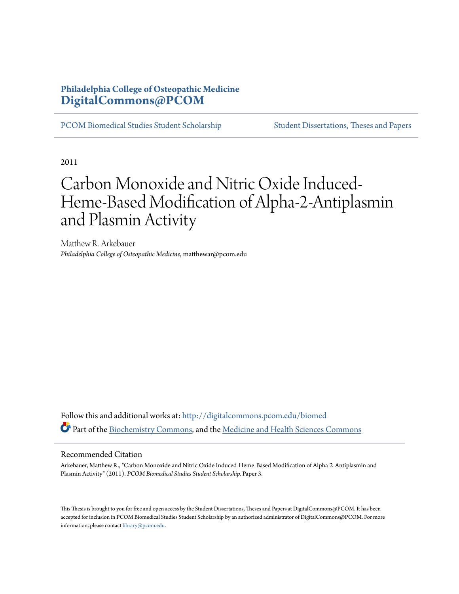### **Philadelphia College of Osteopathic Medicine [DigitalCommons@PCOM](http://digitalcommons.pcom.edu?utm_source=digitalcommons.pcom.edu%2Fbiomed%2F3&utm_medium=PDF&utm_campaign=PDFCoverPages)**

[PCOM Biomedical Studies Student Scholarship](http://digitalcommons.pcom.edu/biomed?utm_source=digitalcommons.pcom.edu%2Fbiomed%2F3&utm_medium=PDF&utm_campaign=PDFCoverPages) [Student Dissertations, Theses and Papers](http://digitalcommons.pcom.edu/etds?utm_source=digitalcommons.pcom.edu%2Fbiomed%2F3&utm_medium=PDF&utm_campaign=PDFCoverPages)

2011

# Carbon Monoxide and Nitric Oxide Induced-Heme-Based Modification of Alpha-2-Antiplasmin and Plasmin Activity

Matthew R. Arkebauer *Philadelphia College of Osteopathic Medicine*, matthewar@pcom.edu

Follow this and additional works at: [http://digitalcommons.pcom.edu/biomed](http://digitalcommons.pcom.edu/biomed?utm_source=digitalcommons.pcom.edu%2Fbiomed%2F3&utm_medium=PDF&utm_campaign=PDFCoverPages) Part of the [Biochemistry Commons](http://network.bepress.com/hgg/discipline/2?utm_source=digitalcommons.pcom.edu%2Fbiomed%2F3&utm_medium=PDF&utm_campaign=PDFCoverPages), and the [Medicine and Health Sciences Commons](http://network.bepress.com/hgg/discipline/648?utm_source=digitalcommons.pcom.edu%2Fbiomed%2F3&utm_medium=PDF&utm_campaign=PDFCoverPages)

#### Recommended Citation

Arkebauer, Matthew R., "Carbon Monoxide and Nitric Oxide Induced-Heme-Based Modification of Alpha-2-Antiplasmin and Plasmin Activity" (2011). *PCOM Biomedical Studies Student Scholarship.* Paper 3.

This Thesis is brought to you for free and open access by the Student Dissertations, Theses and Papers at DigitalCommons@PCOM. It has been accepted for inclusion in PCOM Biomedical Studies Student Scholarship by an authorized administrator of DigitalCommons@PCOM. For more information, please contact [library@pcom.edu.](mailto:library@pcom.edu)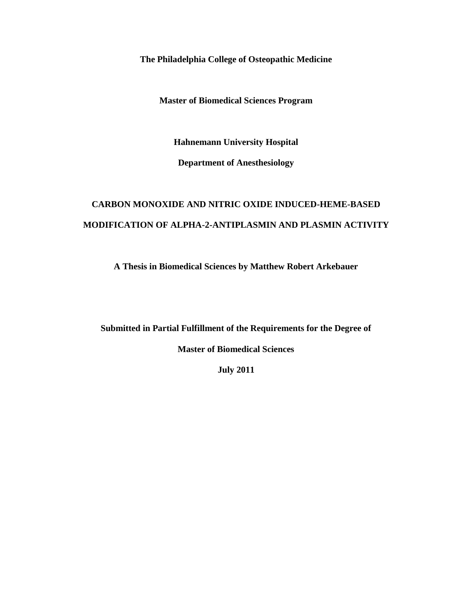**The Philadelphia College of Osteopathic Medicine** 

**Master of Biomedical Sciences Program** 

**Hahnemann University Hospital** 

**Department of Anesthesiology**

# **CARBON MONOXIDE AND NITRIC OXIDE INDUCED-HEME-BASED MODIFICATION OF ALPHA-2-ANTIPLASMIN AND PLASMIN ACTIVITY**

**A Thesis in Biomedical Sciences by Matthew Robert Arkebauer**

 **Submitted in Partial Fulfillment of the Requirements for the Degree of**

**Master of Biomedical Sciences**

 **July 2011**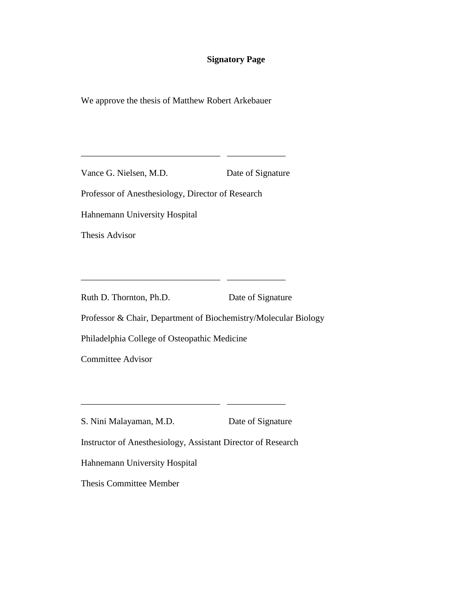### **Signatory Page**

We approve the thesis of Matthew Robert Arkebauer

Vance G. Nielsen, M.D. Date of Signature

\_\_\_\_\_\_\_\_\_\_\_\_\_\_\_\_\_\_\_\_\_\_\_\_\_\_\_\_\_\_\_ \_\_\_\_\_\_\_\_\_\_\_\_\_

Professor of Anesthesiology, Director of Research

Hahnemann University Hospital

Thesis Advisor

Ruth D. Thornton, Ph.D. Date of Signature

\_\_\_\_\_\_\_\_\_\_\_\_\_\_\_\_\_\_\_\_\_\_\_\_\_\_\_\_\_\_\_ \_\_\_\_\_\_\_\_\_\_\_\_\_

Professor & Chair, Department of Biochemistry/Molecular Biology

Philadelphia College of Osteopathic Medicine

Committee Advisor

S. Nini Malayaman, M.D. Date of Signature

\_\_\_\_\_\_\_\_\_\_\_\_\_\_\_\_\_\_\_\_\_\_\_\_\_\_\_\_\_\_\_ \_\_\_\_\_\_\_\_\_\_\_\_\_

Instructor of Anesthesiology, Assistant Director of Research

Hahnemann University Hospital

Thesis Committee Member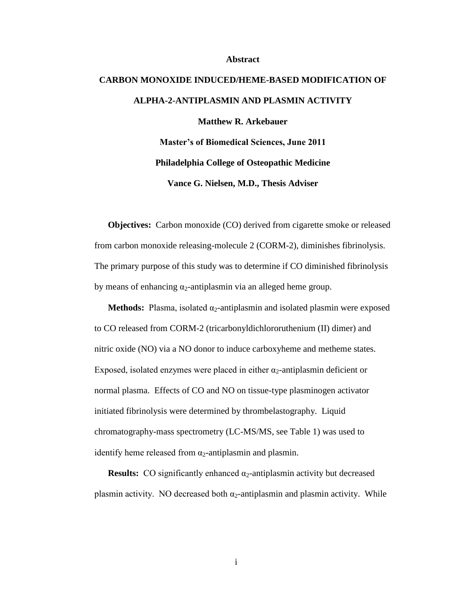#### **Abstract**

# **CARBON MONOXIDE INDUCED/HEME-BASED MODIFICATION OF ALPHA-2-ANTIPLASMIN AND PLASMIN ACTIVITY Matthew R. Arkebauer Master's of Biomedical Sciences, June 2011 Philadelphia College of Osteopathic Medicine Vance G. Nielsen, M.D., Thesis Adviser**

**Objectives:** Carbon monoxide (CO) derived from cigarette smoke or released The primary purpose of this study was to determine if CO diminished fibrinolysis by means of enhancing  $\alpha_2$ -antiplasmin via an alleged heme group. from carbon monoxide releasing-molecule 2 (CORM-2), diminishes fibrinolysis.

**Methods:** Plasma, isolated α<sub>2</sub>-antiplasmin and isolated plasmin were exposed to CO released from CORM-2 (tricarbonyldichlororuthenium (II) dimer) and nitric oxide (NO) via a NO donor to induce carboxyheme and metheme states. Exposed, isolated enzymes were placed in either  $\alpha_2$ -antiplasmin deficient or normal plasma. Effects of CO and NO on tissue-type plasminogen activator initiated fibrinolysis were determined by thrombelastography. Liquid chromatography-mass spectrometry (LC-MS/MS, see Table 1) was used to identify heme released from  $\alpha_2$ -antiplasmin and plasmin.

**Results:** CO significantly enhanced  $\alpha_2$ -antiplasmin activity but decreased plasmin activity. NO decreased both  $\alpha_2$ -antiplasmin and plasmin activity. While

i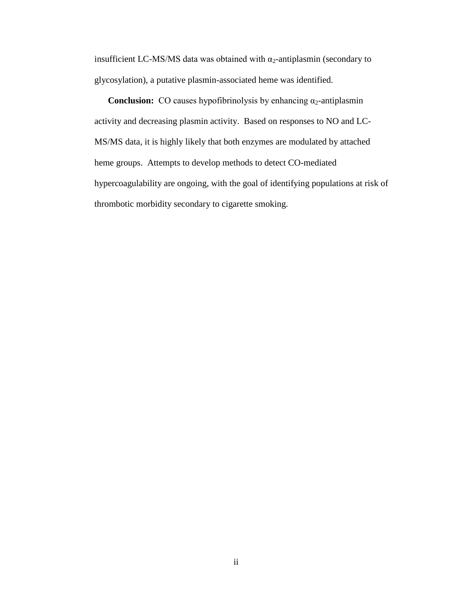insufficient LC-MS/MS data was obtained with  $\alpha_2$ -antiplasmin (secondary to glycosylation), a putative plasmin-associated heme was identified.

**Conclusion:** CO causes hypofibrinolysis by enhancing  $\alpha_2$ -antiplasmin activity and decreasing plasmin activity. Based on responses to NO and LC-MS/MS data, it is highly likely that both enzymes are modulated by attached heme groups. Attempts to develop methods to detect CO-mediated hypercoagulability are ongoing, with the goal of identifying populations at risk of thrombotic morbidity secondary to cigarette smoking.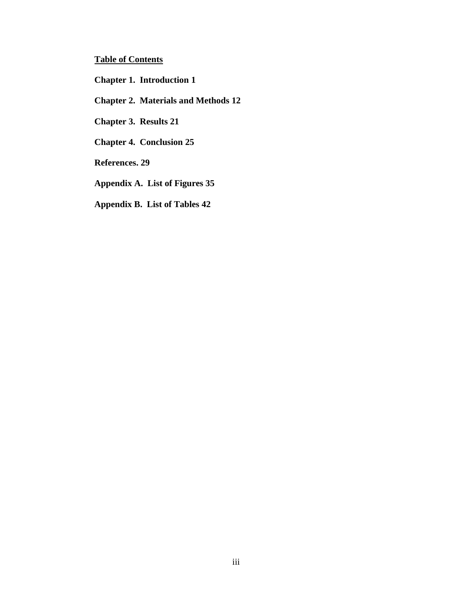#### **Table of Contents**

 **[Chapter 1. Introduction 1](#page-6-0)**

 **[Chapter 2. Materials and Methods 12](#page-17-0)**

 **[Chapter 3. Results 21](#page-26-0)**

 **[Chapter 4. Conclusion 25](#page-30-0)**

 **[References. 29](#page-34-0)**

 **[Appendix A. List of Figures 35](#page-40-0)**

 **Appendix B. List of Tables 42**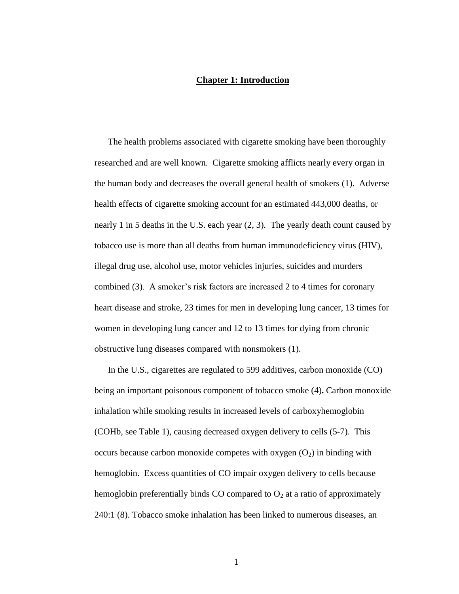#### **Chapter 1: Introduction**

<span id="page-6-0"></span> nearly 1 in 5 deaths in the U.S. each year (2, 3). The yearly death count caused by The health problems associated with cigarette smoking have been thoroughly researched and are well known. Cigarette smoking afflicts nearly every organ in the human body and decreases the overall general health of smokers (1). Adverse health effects of cigarette smoking account for an estimated 443,000 deaths, or tobacco use is more than all deaths from human immunodeficiency virus (HIV), illegal drug use, alcohol use, motor vehicles injuries, suicides and murders combined (3). A smoker's risk factors are increased 2 to 4 times for coronary heart disease and stroke, 23 times for men in developing lung cancer, 13 times for women in developing lung cancer and 12 to 13 times for dying from chronic obstructive lung diseases compared with nonsmokers (1).

 being an important poisonous component of tobacco smoke (4)**.** Carbon monoxide (COHb, see Table 1), causing decreased oxygen delivery to cells (5-7). This hemoglobin. Excess quantities of CO impair oxygen delivery to cells because In the U.S., cigarettes are regulated to 599 additives, carbon monoxide (CO) inhalation while smoking results in increased levels of carboxyhemoglobin occurs because carbon monoxide competes with oxygen  $(O_2)$  in binding with hemoglobin preferentially binds CO compared to  $O_2$  at a ratio of approximately 240:1 (8). Tobacco smoke inhalation has been linked to numerous diseases, an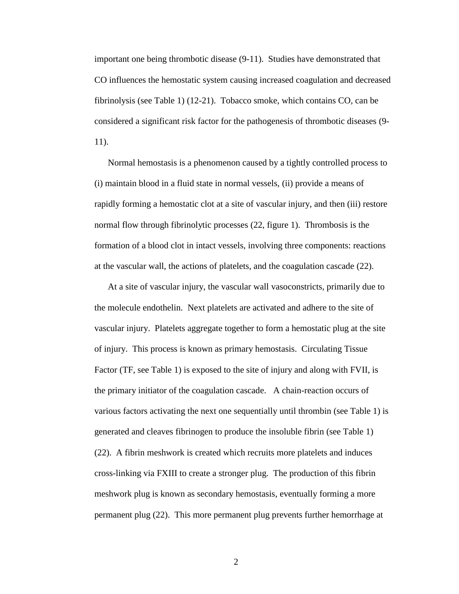CO influences the hemostatic system causing increased coagulation and decreased important one being thrombotic disease (9-11). Studies have demonstrated that fibrinolysis (see Table 1) (12-21). Tobacco smoke, which contains CO, can be considered a significant risk factor for the pathogenesis of thrombotic diseases (9 11).

 (i) maintain blood in a fluid state in normal vessels, (ii) provide a means of rapidly forming a hemostatic clot at a site of vascular injury, and then (iii) restore normal flow through fibrinolytic processes (22, figure 1). Thrombosis is the formation of a blood clot in intact vessels, involving three components: reactions at the vascular wall, the actions of platelets, and the coagulation cascade (22). Normal hemostasis is a phenomenon caused by a tightly controlled process to

 At a site of vascular injury, the vascular wall vasoconstricts, primarily due to the molecule endothelin. Next platelets are activated and adhere to the site of vascular injury. Platelets aggregate together to form a hemostatic plug at the site of injury. This process is known as primary hemostasis. Circulating Tissue meshwork plug is known as secondary hemostasis, eventually forming a more Factor (TF, see Table 1) is exposed to the site of injury and along with FVII, is the primary initiator of the coagulation cascade. A chain-reaction occurs of various factors activating the next one sequentially until thrombin (see Table 1) is generated and cleaves fibrinogen to produce the insoluble fibrin (see Table 1) (22). A fibrin meshwork is created which recruits more platelets and induces cross-linking via FXIII to create a stronger plug. The production of this fibrin permanent plug (22). This more permanent plug prevents further hemorrhage at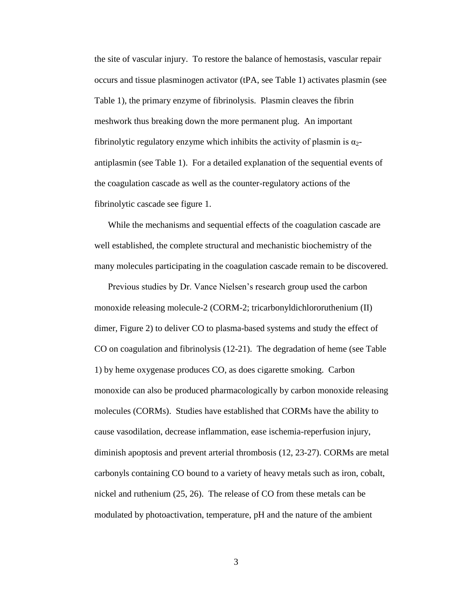the site of vascular injury. To restore the balance of hemostasis, vascular repair occurs and tissue plasminogen activator (tPA, see Table 1) activates plasmin (see meshwork thus breaking down the more permanent plug. An important fibrinolytic cascade see figure 1. Table 1), the primary enzyme of fibrinolysis. Plasmin cleaves the fibrin fibrinolytic regulatory enzyme which inhibits the activity of plasmin is  $\alpha_2$ antiplasmin (see Table 1). For a detailed explanation of the sequential events of the coagulation cascade as well as the counter-regulatory actions of the

many molecules participating in the coagulation cascade remain to be discovered.<br>Previous studies by Dr. Vance Nielsen's research group used the carbon While the mechanisms and sequential effects of the coagulation cascade are well established, the complete structural and mechanistic biochemistry of the

 dimer, Figure 2) to deliver CO to plasma-based systems and study the effect of carbonyls containing CO bound to a variety of heavy metals such as iron, cobalt, monoxide releasing molecule-2 (CORM-2; tricarbonyldichlororuthenium (II) CO on coagulation and fibrinolysis (12-21). The degradation of heme (see Table 1) by heme oxygenase produces CO, as does cigarette smoking. Carbon monoxide can also be produced pharmacologically by carbon monoxide releasing molecules (CORMs). Studies have established that CORMs have the ability to cause vasodilation, decrease inflammation, ease ischemia-reperfusion injury, diminish apoptosis and prevent arterial thrombosis (12, 23-27). CORMs are metal nickel and ruthenium (25, 26). The release of CO from these metals can be modulated by photoactivation, temperature, pH and the nature of the ambient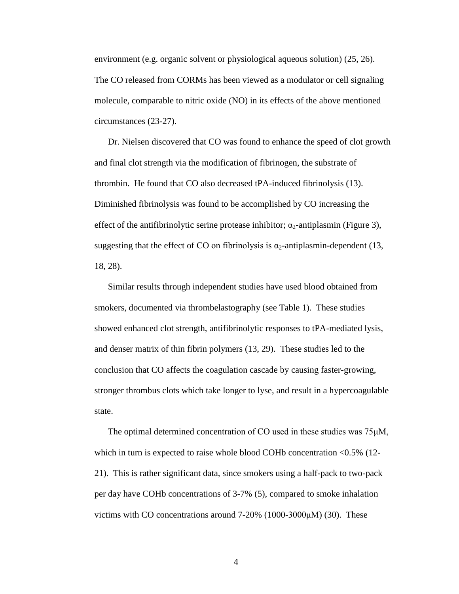The CO released from CORMs has been viewed as a modulator or cell signaling molecule, comparable to nitric oxide (NO) in its effects of the above mentioned environment (e.g. organic solvent or physiological aqueous solution) (25, 26). circumstances (23-27).

 thrombin. He found that CO also decreased tPA-induced fibrinolysis (13). effect of the antifibrinolytic serine protease inhibitor;  $\alpha_2$ -antiplasmin (Figure 3), suggesting that the effect of CO on fibrinolysis is  $\alpha_2$ -antiplasmin-dependent (13, Dr. Nielsen discovered that CO was found to enhance the speed of clot growth and final clot strength via the modification of fibrinogen, the substrate of Diminished fibrinolysis was found to be accomplished by CO increasing the 18, 28).

 Similar results through independent studies have used blood obtained from and denser matrix of thin fibrin polymers (13, 29). These studies led to the conclusion that CO affects the coagulation cascade by causing faster-growing, smokers, documented via thrombelastography (see Table 1). These studies showed enhanced clot strength, antifibrinolytic responses to tPA-mediated lysis, stronger thrombus clots which take longer to lyse, and result in a hypercoagulable state.

 per day have COHb concentrations of 3-7% (5), compared to smoke inhalation victims with CO concentrations around 7-20% (1000-3000μM) (30). These The optimal determined concentration of CO used in these studies was 75μM, which in turn is expected to raise whole blood COHb concentration <0.5% (12-21). This is rather significant data, since smokers using a half-pack to two-pack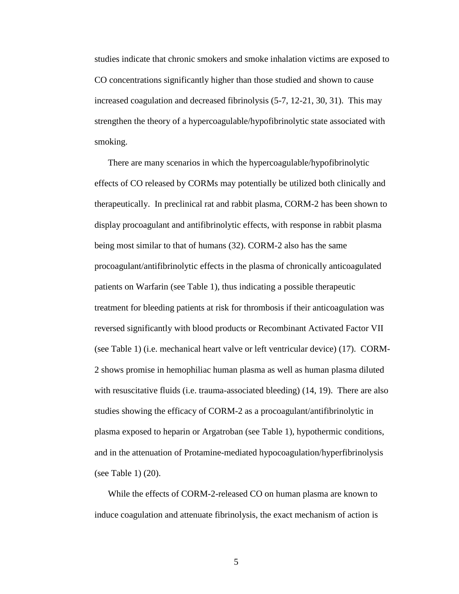smoking. smoking.<br>There are many scenarios in which the hypercoagulable/hypofibrinolytic studies indicate that chronic smokers and smoke inhalation victims are exposed to CO concentrations significantly higher than those studied and shown to cause increased coagulation and decreased fibrinolysis (5-7, 12-21, 30, 31). This may strengthen the theory of a hypercoagulable/hypofibrinolytic state associated with

 display procoagulant and antifibrinolytic effects, with response in rabbit plasma reversed significantly with blood products or Recombinant Activated Factor VII (see Table 1) (i.e. mechanical heart valve or left ventricular device) (17). CORM- with resuscitative fluids (i.e. trauma-associated bleeding) (14, 19). There are also (see Table 1)  $(20)$ . effects of CO released by CORMs may potentially be utilized both clinically and therapeutically. In preclinical rat and rabbit plasma, CORM-2 has been shown to being most similar to that of humans (32). CORM-2 also has the same procoagulant/antifibrinolytic effects in the plasma of chronically anticoagulated patients on Warfarin (see Table 1), thus indicating a possible therapeutic treatment for bleeding patients at risk for thrombosis if their anticoagulation was 2 shows promise in hemophiliac human plasma as well as human plasma diluted studies showing the efficacy of CORM-2 as a procoagulant/antifibrinolytic in plasma exposed to heparin or Argatroban (see Table 1), hypothermic conditions, and in the attenuation of Protamine-mediated hypocoagulation/hyperfibrinolysis

While the effects of CORM-2-released CO on human plasma are known to induce coagulation and attenuate fibrinolysis, the exact mechanism of action is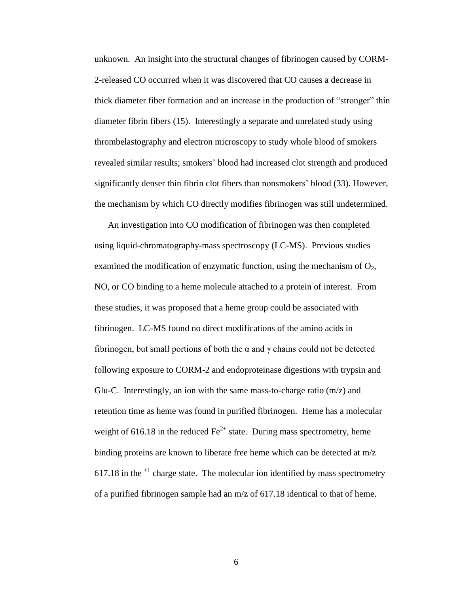2-released CO occurred when it was discovered that CO causes a decrease in diameter fibrin fibers (15). Interestingly a separate and unrelated study using significantly denser thin fibrin clot fibers than nonsmokers' blood (33). However, the mechanism by which CO directly modifies fibrinogen was still undetermined. An investigation into CO modification of fibrinogen was then completed unknown. An insight into the structural changes of fibrinogen caused by CORMthick diameter fiber formation and an increase in the production of "stronger" thin thrombelastography and electron microscopy to study whole blood of smokers revealed similar results; smokers' blood had increased clot strength and produced

 using liquid-chromatography-mass spectroscopy (LC-MS). Previous studies examined the modification of enzymatic function, using the mechanism of  $O_2$ , NO, or CO binding to a heme molecule attached to a protein of interest. From 617.18 in the  $<sup>+1</sup>$  charge state. The molecular ion identified by mass spectrometry</sup> of a purified fibrinogen sample had an m/z of 617.18 identical to that of heme. these studies, it was proposed that a heme group could be associated with fibrinogen. LC-MS found no direct modifications of the amino acids in fibrinogen, but small portions of both the  $\alpha$  and  $\gamma$  chains could not be detected following exposure to CORM-2 and endoproteinase digestions with trypsin and Glu-C. Interestingly, an ion with the same mass-to-charge ratio (m/z) and retention time as heme was found in purified fibrinogen. Heme has a molecular weight of 616.18 in the reduced  $\text{Fe}^{2+}$  state. During mass spectrometry, heme binding proteins are known to liberate free heme which can be detected at m/z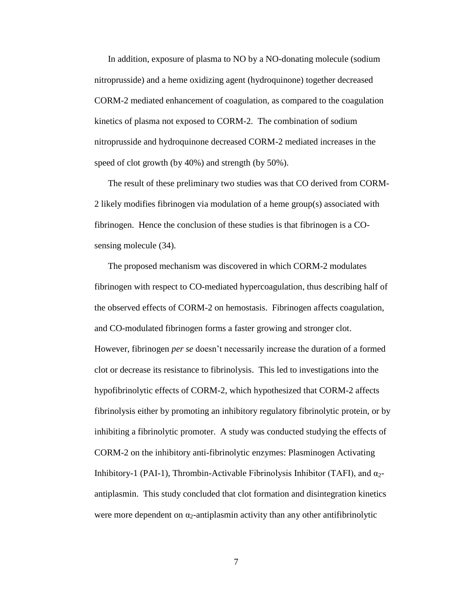speed of clot growth (by 40%) and strength (by 50%). In addition, exposure of plasma to NO by a NO-donating molecule (sodium nitroprusside) and a heme oxidizing agent (hydroquinone) together decreased CORM-2 mediated enhancement of coagulation, as compared to the coagulation kinetics of plasma not exposed to CORM-2. The combination of sodium nitroprusside and hydroquinone decreased CORM-2 mediated increases in the

 sensing molecule (34). The result of these preliminary two studies was that CO derived from CORM-2 likely modifies fibrinogen via modulation of a heme group(s) associated with fibrinogen. Hence the conclusion of these studies is that fibrinogen is a CO-

 fibrinogen with respect to CO-mediated hypercoagulation, thus describing half of However, fibrinogen *per se* doesn't necessarily increase the duration of a formed clot or decrease its resistance to fibrinolysis. This led to investigations into the fibrinolysis either by promoting an inhibitory regulatory fibrinolytic protein, or by The proposed mechanism was discovered in which CORM-2 modulates the observed effects of CORM-2 on hemostasis. Fibrinogen affects coagulation, and CO-modulated fibrinogen forms a faster growing and stronger clot. hypofibrinolytic effects of CORM-2, which hypothesized that CORM-2 affects inhibiting a fibrinolytic promoter. A study was conducted studying the effects of CORM-2 on the inhibitory anti-fibrinolytic enzymes: Plasminogen Activating Inhibitory-1 (PAI-1), Thrombin-Activable Fibrinolysis Inhibitor (TAFI), and  $\alpha_{2}$ antiplasmin. This study concluded that clot formation and disintegration kinetics were more dependent on  $\alpha_2$ -antiplasmin activity than any other antifibrinolytic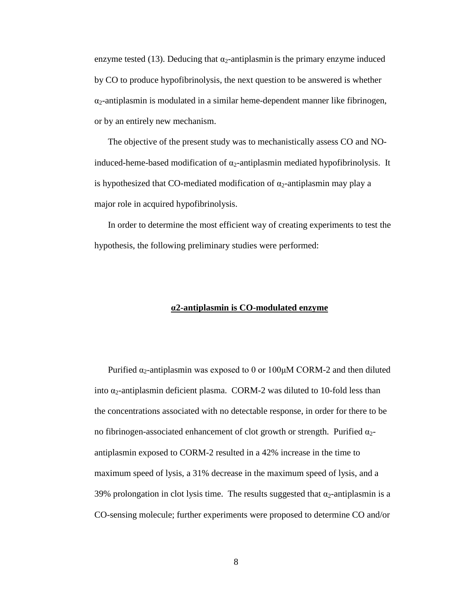or by an entirely new mechanism. enzyme tested (13). Deducing that  $\alpha_2$ -antiplasmin is the primary enzyme induced by CO to produce hypofibrinolysis, the next question to be answered is whether  $\alpha_2$ -antiplasmin is modulated in a similar heme-dependent manner like fibrinogen,

 The objective of the present study was to mechanistically assess CO and NOis hypothesized that CO-mediated modification of  $\alpha_2$ -antiplasmin may play a major role in acquired hypofibrinolysis. induced-heme-based modification of  $\alpha_2$ -antiplasmin mediated hypofibrinolysis. It

 hypothesis, the following preliminary studies were performed: In order to determine the most efficient way of creating experiments to test the

#### **α2-antiplasmin is CO-modulated enzyme**

Purified  $α_2$ -antiplasmin was exposed to 0 or 100μM CORM-2 and then diluted into  $\alpha_2$ -antiplasmin deficient plasma. CORM-2 was diluted to 10-fold less than the concentrations associated with no detectable response, in order for there to be no fibrinogen-associated enhancement of clot growth or strength. Purified  $\alpha_2$ antiplasmin exposed to CORM-2 resulted in a 42% increase in the time to maximum speed of lysis, a 31% decrease in the maximum speed of lysis, and a 39% prolongation in clot lysis time. The results suggested that  $\alpha_2$ -antiplasmin is a CO-sensing molecule; further experiments were proposed to determine CO and/or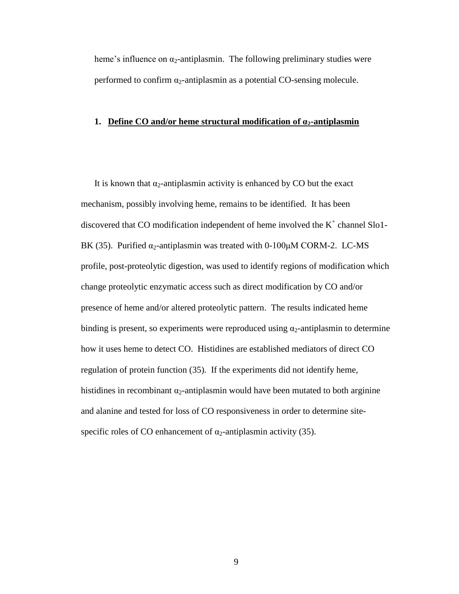heme's influence on  $\alpha_2$ -antiplasmin. The following preliminary studies were performed to confirm  $\alpha_2$ -antiplasmin as a potential CO-sensing molecule.

#### **1. Define CO and/or heme structural modification of α2-antiplasmin**

discovered that CO modification independent of heme involved the  $K^+$  channel Slo1 BK (35). Purified  $\alpha_2$ -antiplasmin was treated with 0-100 $\mu$ M CORM-2. LC-MS presence of heme and/or altered proteolytic pattern. The results indicated heme regulation of protein function (35). If the experiments did not identify heme, specific roles of CO enhancement of  $\alpha_2$ -antiplasmin activity (35). It is known that  $\alpha_2$ -antiplasmin activity is enhanced by CO but the exact mechanism, possibly involving heme, remains to be identified. It has been profile, post-proteolytic digestion, was used to identify regions of modification which change proteolytic enzymatic access such as direct modification by CO and/or binding is present, so experiments were reproduced using  $\alpha_2$ -antiplasmin to determine how it uses heme to detect CO. Histidines are established mediators of direct CO histidines in recombinant  $\alpha_2$ -antiplasmin would have been mutated to both arginine and alanine and tested for loss of CO responsiveness in order to determine site-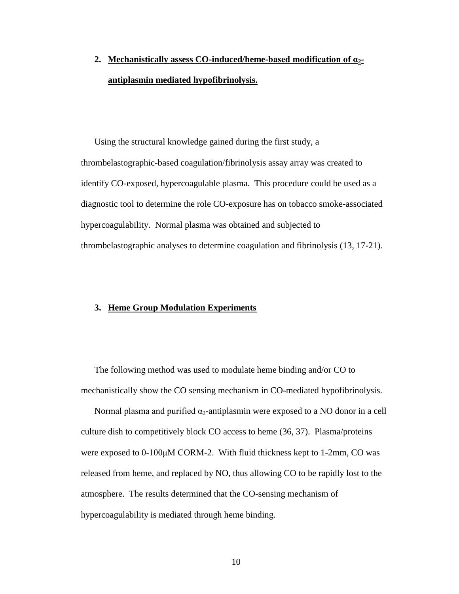# **2. Mechanistically assess CO-induced/heme-based modification of α2 antiplasmin mediated hypofibrinolysis.**

 thrombelastographic-based coagulation/fibrinolysis assay array was created to identify CO-exposed, hypercoagulable plasma. This procedure could be used as a Using the structural knowledge gained during the first study, a diagnostic tool to determine the role CO-exposure has on tobacco smoke-associated hypercoagulability. Normal plasma was obtained and subjected to thrombelastographic analyses to determine coagulation and fibrinolysis (13, 17-21).

#### **3. Heme Group Modulation Experiments**

The following method was used to modulate heme binding and/or CO to mechanistically show the CO sensing mechanism in CO-mediated hypofibrinolysis.

Normal plasma and purified  $\alpha_2$ -antiplasmin were exposed to a NO donor in a cell culture dish to competitively block CO access to heme (36, 37). Plasma/proteins were exposed to 0-100μM CORM-2. With fluid thickness kept to 1-2mm, CO was released from heme, and replaced by NO, thus allowing CO to be rapidly lost to the atmosphere. The results determined that the CO-sensing mechanism of hypercoagulability is mediated through heme binding.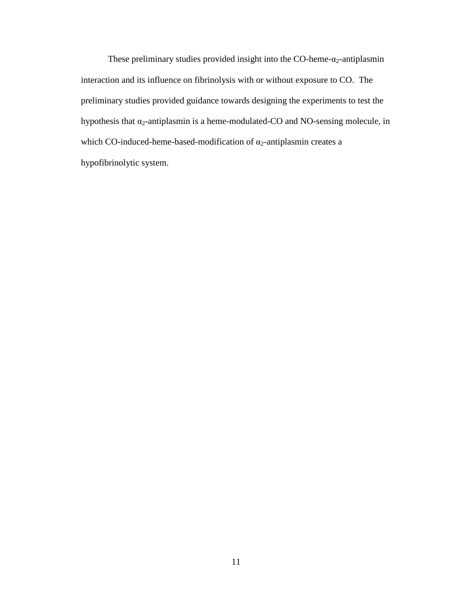These preliminary studies provided insight into the CO-heme- $\alpha_2$ -antiplasmin preliminary studies provided guidance towards designing the experiments to test the which CO-induced-heme-based-modification of  $\alpha_2$ -antiplasmin creates a interaction and its influence on fibrinolysis with or without exposure to CO. The hypothesis that  $\alpha_2$ -antiplasmin is a heme-modulated-CO and NO-sensing molecule, in hypofibrinolytic system.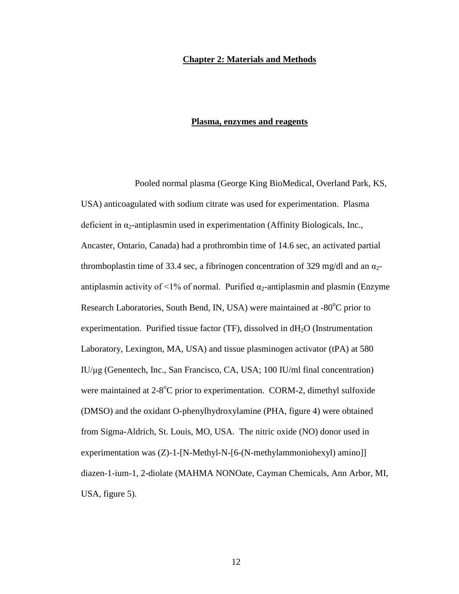#### <span id="page-17-0"></span>**Chapter 2: Materials and Methods**

#### **Plasma, enzymes and reagents**

 Pooled normal plasma (George King BioMedical, Overland Park, KS, USA) anticoagulated with sodium citrate was used for experimentation. Plasma deficient in  $\alpha_2$ -antiplasmin used in experimentation (Affinity Biologicals, Inc., Ancaster, Ontario, Canada) had a prothrombin time of 14.6 sec, an activated partial thromboplastin time of 33.4 sec, a fibrinogen concentration of 329 mg/dl and an  $\alpha_2$ antiplasmin activity of <1% of normal. Purified  $\alpha_2$ -antiplasmin and plasmin (Enzyme Research Laboratories, South Bend, IN, USA) were maintained at -80°C prior to experimentation. Purified tissue factor  $(TF)$ , dissolved in  $dH_2O$  (Instrumentation Laboratory, Lexington, MA, USA) and tissue plasminogen activator (tPA) at 580 IU/μg (Genentech, Inc., San Francisco, CA, USA; 100 IU/ml final concentration) were maintained at  $2-8$ <sup>o</sup>C prior to experimentation. CORM-2, dimethyl sulfoxide (DMSO) and the oxidant O-phenylhydroxylamine (PHA, figure 4) were obtained from Sigma-Aldrich, St. Louis, MO, USA. The nitric oxide (NO) donor used in experimentation was (Z)-1-[N-Methyl-N-[6-(N-methylammoniohexyl) amino]] diazen-1-ium-1, 2-diolate (MAHMA NONOate, Cayman Chemicals, Ann Arbor, MI, USA, figure 5).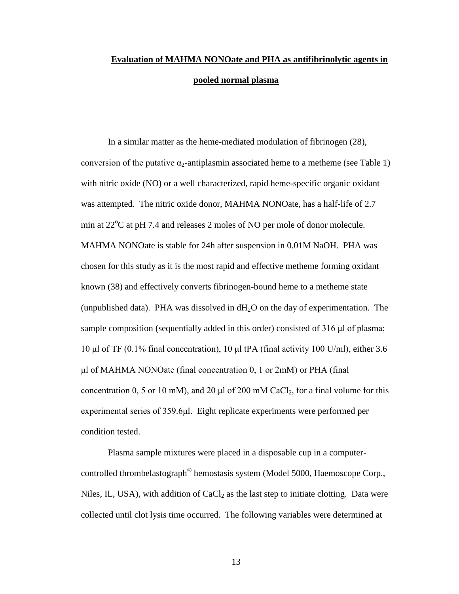# **Evaluation of MAHMA NONOate and PHA as antifibrinolytic agents in pooled normal plasma**

 known (38) and effectively converts fibrinogen-bound heme to a metheme state sample composition (sequentially added in this order) consisted of 316 μl of plasma; In a similar matter as the heme-mediated modulation of fibrinogen (28), conversion of the putative  $\alpha_2$ -antiplasmin associated heme to a metheme (see Table 1) with nitric oxide (NO) or a well characterized, rapid heme-specific organic oxidant was attempted. The nitric oxide donor, MAHMA NONOate, has a half-life of 2.7 min at  $22^{\circ}$ C at pH 7.4 and releases 2 moles of NO per mole of donor molecule. MAHMA NONOate is stable for 24h after suspension in 0.01M NaOH. PHA was chosen for this study as it is the most rapid and effective metheme forming oxidant (unpublished data). PHA was dissolved in  $dH_2O$  on the day of experimentation. The 10 μl of TF (0.1% final concentration), 10 μl tPA (final activity 100 U/ml), either 3.6 μl of MAHMA NONOate (final concentration 0, 1 or 2mM) or PHA (final concentration 0, 5 or 10 mM), and 20  $\mu$ l of 200 mM CaCl<sub>2</sub>, for a final volume for this experimental series of 359.6μl. Eight replicate experiments were performed per condition tested.

Plasma sample mixtures were placed in a disposable cup in a computercontrolled thrombelastograph® hemostasis system (Model 5000, Haemoscope Corp., Niles, IL, USA), with addition of  $CaCl<sub>2</sub>$  as the last step to initiate clotting. Data were collected until clot lysis time occurred. The following variables were determined at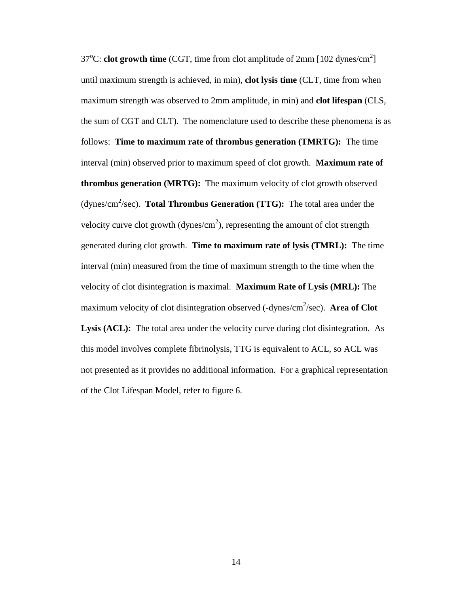follows: **Time to maximum rate of thrombus generation (TMRTG):** The time  interval (min) observed prior to maximum speed of clot growth. **Maximum rate of thrombus generation (MRTG):** The maximum velocity of clot growth observed (dynes/cm<sup>2</sup>/sec). **Total Thrombus Generation (TTG):** The total area under the velocity curve clot growth (dynes/cm<sup>2</sup>), representing the amount of clot strength generated during clot growth. **Time to maximum rate of lysis (TMRL):** The time Lysis (ACL): The total area under the velocity curve during clot disintegration. As not presented as it provides no additional information. For a graphical representation of the Clot Lifespan Model, refer to figure 6.  $37^{\circ}$ C: **clot growth time** (CGT, time from clot amplitude of  $2$ mm [102 dynes/cm<sup>2</sup>] until maximum strength is achieved, in min), **clot lysis time** (CLT, time from when maximum strength was observed to 2mm amplitude, in min) and **clot lifespan** (CLS, the sum of CGT and CLT). The nomenclature used to describe these phenomena is as interval (min) measured from the time of maximum strength to the time when the velocity of clot disintegration is maximal. **Maximum Rate of Lysis (MRL):** The maximum velocity of clot disintegration observed (-dynes/cm<sup>2</sup>/sec). Area of Clot this model involves complete fibrinolysis, TTG is equivalent to ACL, so ACL was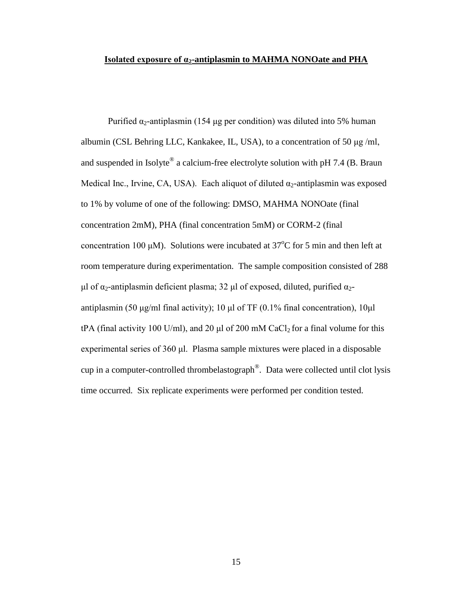#### Isolated exposure of α<sub>2</sub>-antiplasmin to MAHMA NONOate and PHA

 albumin (CSL Behring LLC, Kankakee, IL, USA), to a concentration of 50 μg /ml, to 1% by volume of one of the following: DMSO, MAHMA NONOate (final experimental series of 360 μl. Plasma sample mixtures were placed in a disposable Purified  $α_2$ -antiplasmin (154 μg per condition) was diluted into 5% human and suspended in Isolyte<sup>®</sup> a calcium-free electrolyte solution with pH 7.4 (B. Braun Medical Inc., Irvine, CA, USA). Each aliquot of diluted  $\alpha_2$ -antiplasmin was exposed concentration 2mM), PHA (final concentration 5mM) or CORM-2 (final concentration 100  $\mu$ M). Solutions were incubated at 37<sup>o</sup>C for 5 min and then left at room temperature during experimentation. The sample composition consisted of 288 μl of  $α_2$ -antiplasmin deficient plasma; 32 μl of exposed, diluted, purified  $α_2$ antiplasmin (50 μg/ml final activity); 10 μl of TF (0.1% final concentration), 10μl tPA (final activity 100 U/ml), and 20  $\mu$  of 200 mM CaCl<sub>2</sub> for a final volume for this cup in a computer-controlled thrombelastograph®. Data were collected until clot lysis time occurred. Six replicate experiments were performed per condition tested.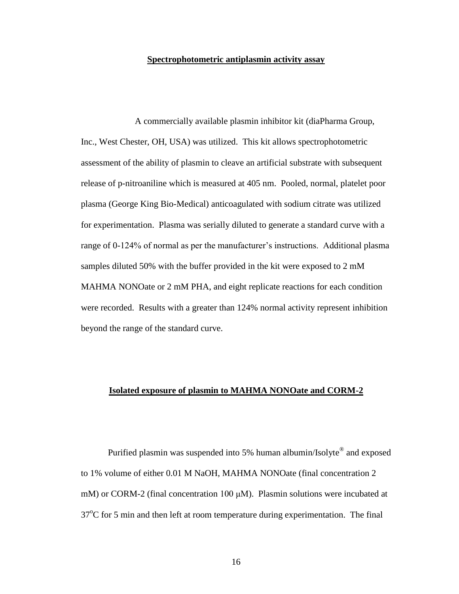#### **Spectrophotometric antiplasmin activity assay**

 were recorded. Results with a greater than 124% normal activity represent inhibition A commercially available plasmin inhibitor kit (diaPharma Group, Inc., West Chester, OH, USA) was utilized. This kit allows spectrophotometric assessment of the ability of plasmin to cleave an artificial substrate with subsequent release of p-nitroaniline which is measured at 405 nm. Pooled, normal, platelet poor plasma (George King Bio-Medical) anticoagulated with sodium citrate was utilized for experimentation. Plasma was serially diluted to generate a standard curve with a range of 0-124% of normal as per the manufacturer's instructions. Additional plasma samples diluted 50% with the buffer provided in the kit were exposed to 2 mM MAHMA NONOate or 2 mM PHA, and eight replicate reactions for each condition beyond the range of the standard curve.

#### **Isolated exposure of plasmin to MAHMA NONOate and CORM-2**

Purified plasmin was suspended into 5% human albumin/Isolyte<sup>®</sup> and exposed to 1% volume of either 0.01 M NaOH, MAHMA NONOate (final concentration 2 mM) or CORM-2 (final concentration 100  $\mu$ M). Plasmin solutions were incubated at 37<sup>o</sup>C for 5 min and then left at room temperature during experimentation. The final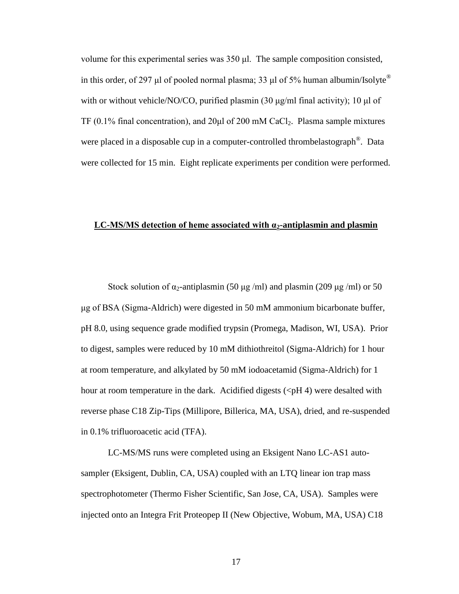volume for this experimental series was 350 μl. The sample composition consisted, in this order, of 297 μl of pooled normal plasma; 33 μl of 5% human albumin/Isolyte<sup>®</sup> with or without vehicle/NO/CO, purified plasmin (30  $\mu$ g/ml final activity); 10  $\mu$ l of TF  $(0.1\%$  final concentration), and  $20\mu$  of  $200 \text{ mM } CaCl_2$ . Plasma sample mixtures were placed in a disposable cup in a computer-controlled thrombelastograph<sup>®</sup>. Data were collected for 15 min. Eight replicate experiments per condition were performed.

#### **LC-MS/MS detection of heme associated with α<sub>2</sub>-antiplasmin and plasmin**

Stock solution of  $\alpha_2$ -antiplasmin (50 μg /ml) and plasmin (209 μg /ml) or 50 μg of BSA (Sigma-Aldrich) were digested in 50 mM ammonium bicarbonate buffer, pH 8.0, using sequence grade modified trypsin (Promega, Madison, WI, USA). Prior to digest, samples were reduced by 10 mM dithiothreitol (Sigma-Aldrich) for 1 hour at room temperature, and alkylated by 50 mM iodoacetamid (Sigma-Aldrich) for 1 hour at room temperature in the dark. Acidified digests  $(*p*H 4)$  were desalted with reverse phase C18 Zip-Tips (Millipore, Billerica, MA, USA), dried, and re-suspended in 0.1% trifluoroacetic acid (TFA).

LC-MS/MS runs were completed using an Eksigent Nano LC-AS1 autosampler (Eksigent, Dublin, CA, USA) coupled with an LTQ linear ion trap mass spectrophotometer (Thermo Fisher Scientific, San Jose, CA, USA). Samples were injected onto an Integra Frit Proteopep II (New Objective, Wobum, MA, USA) C18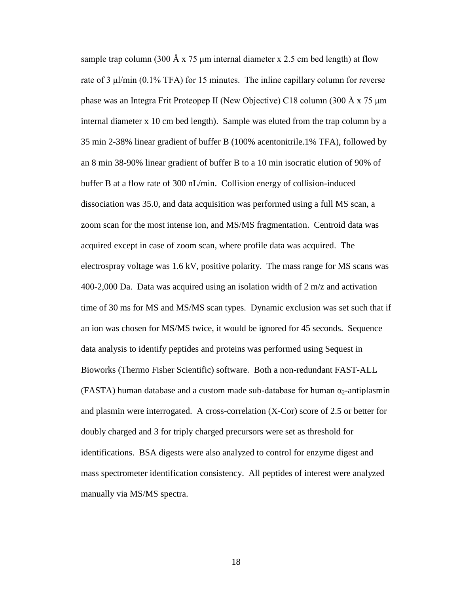35 min 2-38% linear gradient of buffer B (100% acentonitrile.1% TFA), followed by sample trap column (300 Å x 75 µm internal diameter x 2.5 cm bed length) at flow rate of 3 μl/min (0.1% TFA) for 15 minutes. The inline capillary column for reverse phase was an Integra Frit Proteopep II (New Objective) C18 column (300 Å x 75 μm internal diameter x 10 cm bed length). Sample was eluted from the trap column by a an 8 min 38-90% linear gradient of buffer B to a 10 min isocratic elution of 90% of buffer B at a flow rate of 300 nL/min. Collision energy of collision-induced dissociation was 35.0, and data acquisition was performed using a full MS scan, a zoom scan for the most intense ion, and MS/MS fragmentation. Centroid data was acquired except in case of zoom scan, where profile data was acquired. The electrospray voltage was 1.6 kV, positive polarity. The mass range for MS scans was 400-2,000 Da. Data was acquired using an isolation width of 2 m/z and activation time of 30 ms for MS and MS/MS scan types. Dynamic exclusion was set such that if an ion was chosen for MS/MS twice, it would be ignored for 45 seconds. Sequence data analysis to identify peptides and proteins was performed using Sequest in Bioworks (Thermo Fisher Scientific) software. Both a non-redundant FAST-ALL (FASTA) human database and a custom made sub-database for human  $\alpha_2$ -antiplasmin and plasmin were interrogated. A cross-correlation (X-Cor) score of 2.5 or better for doubly charged and 3 for triply charged precursors were set as threshold for identifications. BSA digests were also analyzed to control for enzyme digest and mass spectrometer identification consistency. All peptides of interest were analyzed manually via MS/MS spectra.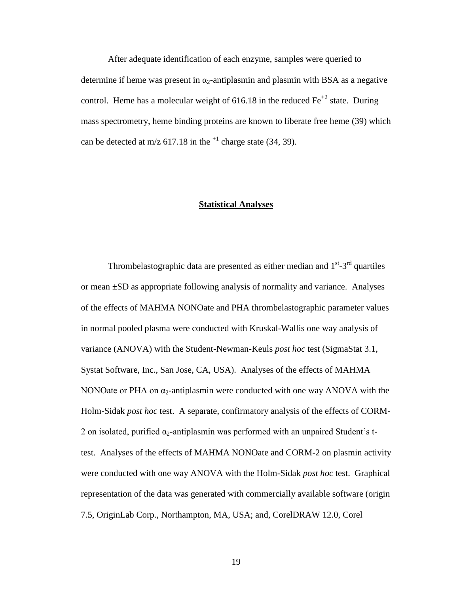can be detected at m/z  $617.18$  in the <sup>+1</sup> charge state (34, 39). After adequate identification of each enzyme, samples were queried to determine if heme was present in  $\alpha_2$ -antiplasmin and plasmin with BSA as a negative control. Heme has a molecular weight of 616.18 in the reduced  $Fe^{+2}$  state. During mass spectrometry, heme binding proteins are known to liberate free heme (39) which

#### **Statistical Analyses**

 test. Analyses of the effects of MAHMA NONOate and CORM-2 on plasmin activity Thrombelastographic data are presented as either median and  $1<sup>st</sup> - 3<sup>rd</sup>$  quartiles or mean ±SD as appropriate following analysis of normality and variance. Analyses of the effects of MAHMA NONOate and PHA thrombelastographic parameter values in normal pooled plasma were conducted with Kruskal-Wallis one way analysis of variance (ANOVA) with the Student-Newman-Keuls *post hoc* test (SigmaStat 3.1, Systat Software, Inc., San Jose, CA, USA). Analyses of the effects of MAHMA NONOate or PHA on  $\alpha_2$ -antiplasmin were conducted with one way ANOVA with the Holm-Sidak *post hoc* test. A separate, confirmatory analysis of the effects of CORM-2 on isolated, purified  $\alpha_2$ -antiplasmin was performed with an unpaired Student's twere conducted with one way ANOVA with the Holm-Sidak *post hoc* test. Graphical representation of the data was generated with commercially available software (origin 7.5, OriginLab Corp., Northampton, MA, USA; and, CorelDRAW 12.0, Corel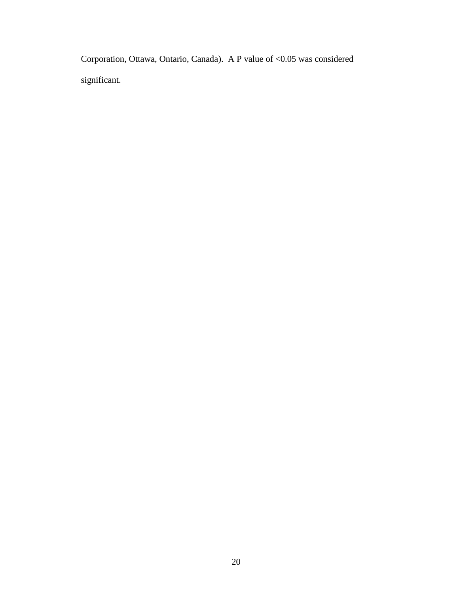Corporation, Ottawa, Ontario, Canada). A P value of <0.05 was considered significant.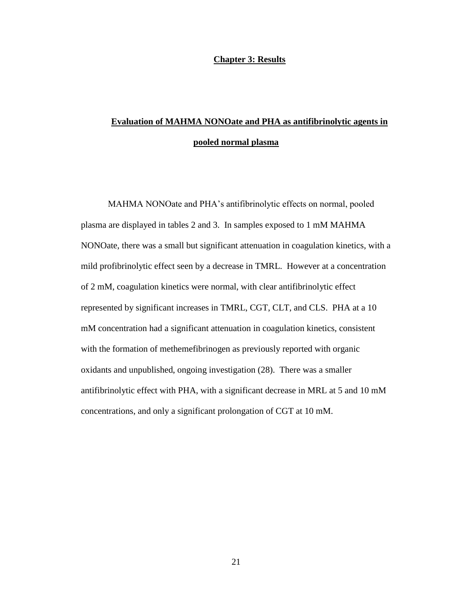#### **Chapter 3: Results**

# <span id="page-26-0"></span>**Evaluation of MAHMA NONOate and PHA as antifibrinolytic agents in pooled normal plasma**

 oxidants and unpublished, ongoing investigation (28). There was a smaller MAHMA NONOate and PHA's antifibrinolytic effects on normal, pooled plasma are displayed in tables 2 and 3. In samples exposed to 1 mM MAHMA NONOate, there was a small but significant attenuation in coagulation kinetics, with a mild profibrinolytic effect seen by a decrease in TMRL. However at a concentration of 2 mM, coagulation kinetics were normal, with clear antifibrinolytic effect represented by significant increases in TMRL, CGT, CLT, and CLS. PHA at a 10 mM concentration had a significant attenuation in coagulation kinetics, consistent with the formation of methemefibrinogen as previously reported with organic antifibrinolytic effect with PHA, with a significant decrease in MRL at 5 and 10 mM concentrations, and only a significant prolongation of CGT at 10 mM.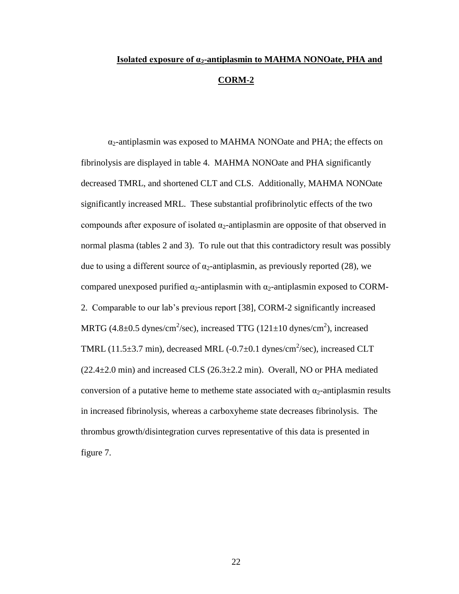# **Isolated exposure of α2-antiplasmin to MAHMA NONOate, PHA and CORM-2**

 figure 7.  $\alpha_2$ -antiplasmin was exposed to MAHMA NONOate and PHA; the effects on fibrinolysis are displayed in table 4. MAHMA NONOate and PHA significantly decreased TMRL, and shortened CLT and CLS. Additionally, MAHMA NONOate significantly increased MRL. These substantial profibrinolytic effects of the two compounds after exposure of isolated  $\alpha_2$ -antiplasmin are opposite of that observed in normal plasma (tables 2 and 3). To rule out that this contradictory result was possibly due to using a different source of  $\alpha_2$ -antiplasmin, as previously reported (28), we compared unexposed purified  $\alpha_2$ -antiplasmin with  $\alpha_2$ -antiplasmin exposed to CORM-2. Comparable to our lab's previous report [38], CORM-2 significantly increased MRTG  $(4.8\pm0.5 \text{ dynes/cm}^2/\text{sec})$ , increased TTG  $(121\pm10 \text{ dynes/cm}^2)$ , increased TMRL (11.5 $\pm$ 3.7 min), decreased MRL (-0.7 $\pm$ 0.1 dynes/cm<sup>2</sup>/sec), increased CLT  $(22.4\pm2.0 \text{ min})$  and increased CLS  $(26.3\pm2.2 \text{ min})$ . Overall, NO or PHA mediated conversion of a putative heme to metheme state associated with  $\alpha_2$ -antiplasmin results in increased fibrinolysis, whereas a carboxyheme state decreases fibrinolysis. The thrombus growth/disintegration curves representative of this data is presented in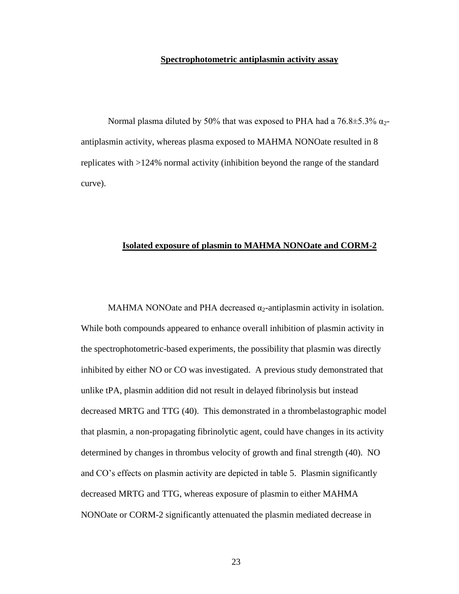#### **Spectrophotometric antiplasmin activity assay**

 antiplasmin activity, whereas plasma exposed to MAHMA NONOate resulted in 8 Normal plasma diluted by 50% that was exposed to PHA had a  $76.8\pm5.3\%$   $\alpha_{2}$ replicates with >124% normal activity (inhibition beyond the range of the standard curve).

#### **Isolated exposure of plasmin to MAHMA NONOate and CORM-2**

MAHMA NONOate and PHA decreased  $\alpha_2$ -antiplasmin activity in isolation. While both compounds appeared to enhance overall inhibition of plasmin activity in the spectrophotometric-based experiments, the possibility that plasmin was directly inhibited by either NO or CO was investigated. A previous study demonstrated that unlike tPA, plasmin addition did not result in delayed fibrinolysis but instead decreased MRTG and TTG (40). This demonstrated in a thrombelastographic model that plasmin, a non-propagating fibrinolytic agent, could have changes in its activity determined by changes in thrombus velocity of growth and final strength (40). NO and CO's effects on plasmin activity are depicted in table 5. Plasmin significantly decreased MRTG and TTG, whereas exposure of plasmin to either MAHMA NONOate or CORM-2 significantly attenuated the plasmin mediated decrease in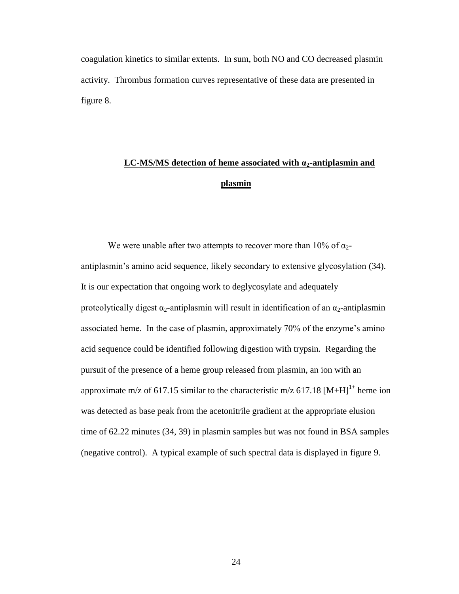figure 8. coagulation kinetics to similar extents. In sum, both NO and CO decreased plasmin activity. Thrombus formation curves representative of these data are presented in

# **LC-MS/MS detection of heme associated with**  $\alpha_2$ **-antiplasmin and plasmin**

 time of 62.22 minutes (34, 39) in plasmin samples but was not found in BSA samples (negative control). A typical example of such spectral data is displayed in figure 9. We were unable after two attempts to recover more than 10% of  $\alpha_2$ antiplasmin's amino acid sequence, likely secondary to extensive glycosylation (34). It is our expectation that ongoing work to deglycosylate and adequately proteolytically digest  $\alpha_2$ -antiplasmin will result in identification of an  $\alpha_2$ -antiplasmin associated heme. In the case of plasmin, approximately 70% of the enzyme's amino acid sequence could be identified following digestion with trypsin. Regarding the pursuit of the presence of a heme group released from plasmin, an ion with an approximate m/z of 617.15 similar to the characteristic m/z 617.18  $[M+H]$ <sup>1+</sup> heme ion was detected as base peak from the acetonitrile gradient at the appropriate elusion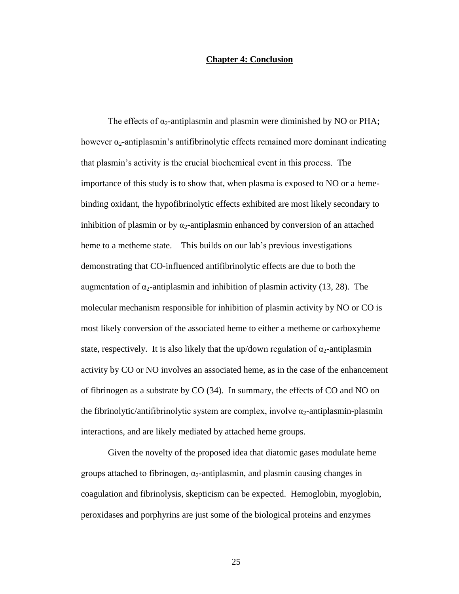#### **Chapter 4: Conclusion**

<span id="page-30-0"></span> heme to a metheme state. This builds on our lab's previous investigations augmentation of  $\alpha_2$ -antiplasmin and inhibition of plasmin activity (13, 28). The The effects of  $\alpha_2$ -antiplasmin and plasmin were diminished by NO or PHA; however  $\alpha_2$ -antiplasmin's antifibrinolytic effects remained more dominant indicating that plasmin's activity is the crucial biochemical event in this process. The importance of this study is to show that, when plasma is exposed to NO or a hemebinding oxidant, the hypofibrinolytic effects exhibited are most likely secondary to inhibition of plasmin or by  $\alpha_2$ -antiplasmin enhanced by conversion of an attached demonstrating that CO-influenced antifibrinolytic effects are due to both the molecular mechanism responsible for inhibition of plasmin activity by NO or CO is most likely conversion of the associated heme to either a metheme or carboxyheme state, respectively. It is also likely that the up/down regulation of  $\alpha_2$ -antiplasmin activity by CO or NO involves an associated heme, as in the case of the enhancement of fibrinogen as a substrate by CO (34). In summary, the effects of CO and NO on the fibrinolytic/antifibrinolytic system are complex, involve  $\alpha_2$ -antiplasmin-plasmin interactions, and are likely mediated by attached heme groups.

 Given the novelty of the proposed idea that diatomic gases modulate heme groups attached to fibrinogen,  $\alpha_2$ -antiplasmin, and plasmin causing changes in coagulation and fibrinolysis, skepticism can be expected. Hemoglobin, myoglobin, peroxidases and porphyrins are just some of the biological proteins and enzymes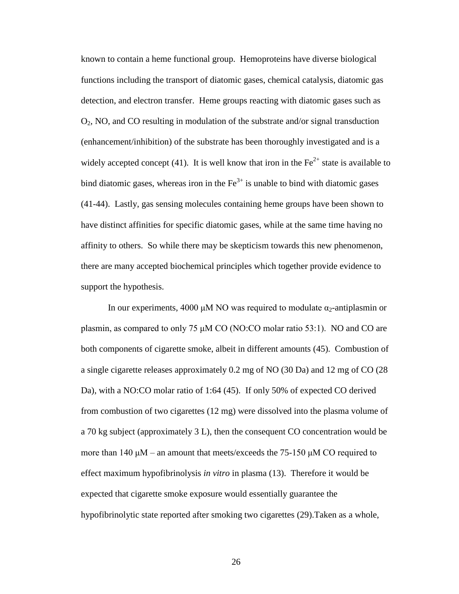bind diatomic gases, whereas iron in the  $\text{Fe}^{3+}$  is unable to bind with diatomic gases affinity to others. So while there may be skepticism towards this new phenomenon, known to contain a heme functional group. Hemoproteins have diverse biological functions including the transport of diatomic gases, chemical catalysis, diatomic gas detection, and electron transfer. Heme groups reacting with diatomic gases such as O2, NO, and CO resulting in modulation of the substrate and/or signal transduction (enhancement/inhibition) of the substrate has been thoroughly investigated and is a widely accepted concept (41). It is well know that iron in the  $Fe<sup>2+</sup>$  state is available to (41-44). Lastly, gas sensing molecules containing heme groups have been shown to have distinct affinities for specific diatomic gases, while at the same time having no there are many accepted biochemical principles which together provide evidence to support the hypothesis.

 effect maximum hypofibrinolysis *in vitro* in plasma (13). Therefore it would be In our experiments, 4000 μM NO was required to modulate  $\alpha_2$ -antiplasmin or plasmin, as compared to only 75 μM CO (NO:CO molar ratio 53:1). NO and CO are both components of cigarette smoke, albeit in different amounts (45). Combustion of a single cigarette releases approximately 0.2 mg of NO (30 Da) and 12 mg of CO (28 Da), with a NO:CO molar ratio of 1:64 (45). If only 50% of expected CO derived from combustion of two cigarettes (12 mg) were dissolved into the plasma volume of a 70 kg subject (approximately 3 L), then the consequent CO concentration would be more than 140  $\mu$ M – an amount that meets/exceeds the 75-150  $\mu$ M CO required to expected that cigarette smoke exposure would essentially guarantee the hypofibrinolytic state reported after smoking two cigarettes (29).Taken as a whole,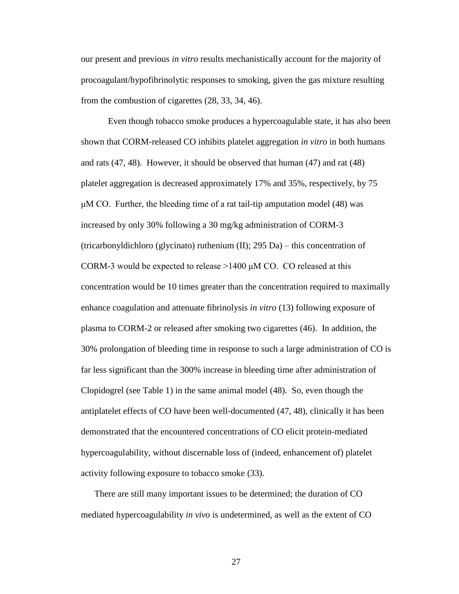our present and previous *in vitro* results mechanistically account for the majority of procoagulant/hypofibrinolytic responses to smoking, given the gas mixture resulting from the combustion of cigarettes (28, 33, 34, 46).

 and rats (47, 48). However, it should be observed that human (47) and rat (48) enhance coagulation and attenuate fibrinolysis *in vitro* (13) following exposure of plasma to CORM-2 or released after smoking two cigarettes (46). In addition, the activity following exposure to tobacco smoke (33). Even though tobacco smoke produces a hypercoagulable state, it has also been shown that CORM-released CO inhibits platelet aggregation *in vitro* in both humans platelet aggregation is decreased approximately 17% and 35%, respectively, by 75  $\mu$ M CO. Further, the bleeding time of a rat tail-tip amputation model (48) was increased by only 30% following a 30 mg/kg administration of CORM-3 (tricarbonyldichloro (glycinato) ruthenium (II); 295 Da) – this concentration of CORM-3 would be expected to release  $>1400 \mu M$  CO. CO released at this concentration would be 10 times greater than the concentration required to maximally 30% prolongation of bleeding time in response to such a large administration of CO is far less significant than the 300% increase in bleeding time after administration of Clopidogrel (see Table 1) in the same animal model (48). So, even though the antiplatelet effects of CO have been well-documented (47, 48), clinically it has been demonstrated that the encountered concentrations of CO elicit protein-mediated hypercoagulability, without discernable loss of (indeed, enhancement of) platelet

 mediated hypercoagulability *in vivo* is undetermined, as well as the extent of CO There are still many important issues to be determined; the duration of CO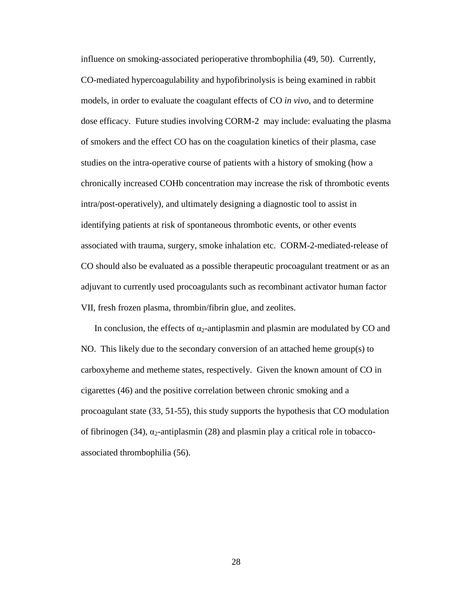intra/post-operatively), and ultimately designing a diagnostic tool to assist in associated with trauma, surgery, smoke inhalation etc. CORM-2-mediated-release of influence on smoking-associated perioperative thrombophilia (49, 50). Currently, CO-mediated hypercoagulability and hypofibrinolysis is being examined in rabbit models, in order to evaluate the coagulant effects of CO *in vivo*, and to determine dose efficacy. Future studies involving CORM-2 may include: evaluating the plasma of smokers and the effect CO has on the coagulation kinetics of their plasma, case studies on the intra-operative course of patients with a history of smoking (how a chronically increased COHb concentration may increase the risk of thrombotic events identifying patients at risk of spontaneous thrombotic events, or other events CO should also be evaluated as a possible therapeutic procoagulant treatment or as an adjuvant to currently used procoagulants such as recombinant activator human factor VII, fresh frozen plasma, thrombin/fibrin glue, and zeolites.

 cigarettes (46) and the positive correlation between chronic smoking and a procoagulant state (33, 51-55), this study supports the hypothesis that CO modulation associated thrombophilia (56). In conclusion, the effects of  $\alpha_2$ -antiplasmin and plasmin are modulated by CO and NO. This likely due to the secondary conversion of an attached heme group(s) to carboxyheme and metheme states, respectively. Given the known amount of CO in of fibrinogen (34),  $\alpha_2$ -antiplasmin (28) and plasmin play a critical role in tobacco-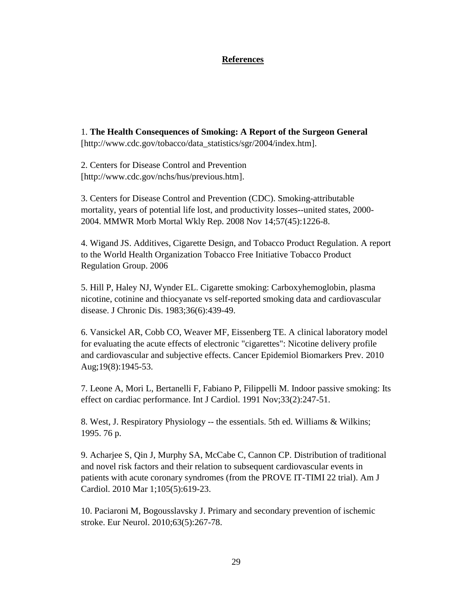#### **References**

<span id="page-34-0"></span>1. **The Health Consequences of Smoking: A Report of the Surgeon General**  [http://www.cdc.gov/tobacco/data\_statistics/sgr/2004/index.htm].

2. Centers for Disease Control and Prevention [http://www.cdc.gov/nchs/hus/previous.htm].

3. Centers for Disease Control and Prevention (CDC). Smoking-attributable mortality, years of potential life lost, and productivity losses--united states, 2000 2004. MMWR Morb Mortal Wkly Rep. 2008 Nov 14;57(45):1226-8.

4. Wigand JS. Additives, Cigarette Design, and Tobacco Product Regulation. A report to the World Health Organization Tobacco Free Initiative Tobacco Product Regulation Group. 2006

5. Hill P, Haley NJ, Wynder EL. Cigarette smoking: Carboxyhemoglobin, plasma nicotine, cotinine and thiocyanate vs self-reported smoking data and cardiovascular disease. J Chronic Dis. 1983;36(6):439-49.

 for evaluating the acute effects of electronic "cigarettes": Nicotine delivery profile 6. Vansickel AR, Cobb CO, Weaver MF, Eissenberg TE. A clinical laboratory model and cardiovascular and subjective effects. Cancer Epidemiol Biomarkers Prev. 2010 Aug;19(8):1945-53.

7. Leone A, Mori L, Bertanelli F, Fabiano P, Filippelli M. Indoor passive smoking: Its effect on cardiac performance. Int J Cardiol. 1991 Nov;33(2):247-51.

 8. West, J. Respiratory Physiology -- the essentials. 5th ed. Williams & Wilkins; 1995. 76 p.

9. Acharjee S, Qin J, Murphy SA, McCabe C, Cannon CP. Distribution of traditional and novel risk factors and their relation to subsequent cardiovascular events in patients with acute coronary syndromes (from the PROVE IT-TIMI 22 trial). Am J Cardiol. 2010 Mar 1;105(5):619-23.

10. Paciaroni M, Bogousslavsky J. Primary and secondary prevention of ischemic stroke. Eur Neurol. 2010;63(5):267-78.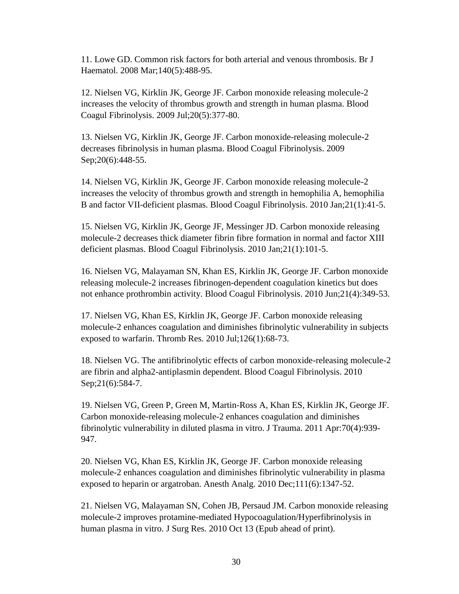11. Lowe GD. Common risk factors for both arterial and venous thrombosis. Br J Haematol. 2008 Mar;140(5):488-95.

12. Nielsen VG, Kirklin JK, George JF. Carbon monoxide releasing molecule-2 increases the velocity of thrombus growth and strength in human plasma. Blood Coagul Fibrinolysis. 2009 Jul;20(5):377-80.

13. Nielsen VG, Kirklin JK, George JF. Carbon monoxide-releasing molecule-2 decreases fibrinolysis in human plasma. Blood Coagul Fibrinolysis. 2009 Sep; 20(6): 448-55.

14. Nielsen VG, Kirklin JK, George JF. Carbon monoxide releasing molecule-2 increases the velocity of thrombus growth and strength in hemophilia A, hemophilia B and factor VII-deficient plasmas. Blood Coagul Fibrinolysis. 2010 Jan;21(1):41-5.

 molecule-2 decreases thick diameter fibrin fibre formation in normal and factor XIII 15. Nielsen VG, Kirklin JK, George JF, Messinger JD. Carbon monoxide releasing deficient plasmas. Blood Coagul Fibrinolysis. 2010 Jan;21(1):101-5.

16. Nielsen VG, Malayaman SN, Khan ES, Kirklin JK, George JF. Carbon monoxide releasing molecule-2 increases fibrinogen-dependent coagulation kinetics but does not enhance prothrombin activity. Blood Coagul Fibrinolysis. 2010 Jun;21(4):349-53.

17. Nielsen VG, Khan ES, Kirklin JK, George JF. Carbon monoxide releasing molecule-2 enhances coagulation and diminishes fibrinolytic vulnerability in subjects exposed to warfarin. Thromb Res. 2010 Jul;126(1):68-73.

18. Nielsen VG. The antifibrinolytic effects of carbon monoxide-releasing molecule-2 are fibrin and alpha2-antiplasmin dependent. Blood Coagul Fibrinolysis. 2010 Sep;21(6):584-7.

947. 19. Nielsen VG, Green P, Green M, Martin-Ross A, Khan ES, Kirklin JK, George JF. Carbon monoxide-releasing molecule-2 enhances coagulation and diminishes fibrinolytic vulnerability in diluted plasma in vitro. J Trauma. 2011 Apr:70(4):939

 exposed to heparin or argatroban. Anesth Analg. 2010 Dec;111(6):1347-52. 947. 20. Nielsen VG, Khan ES, Kirklin JK, George JF. Carbon monoxide releasing molecule-2 enhances coagulation and diminishes fibrinolytic vulnerability in plasma

 21. Nielsen VG, Malayaman SN, Cohen JB, Persaud JM. Carbon monoxide releasing human plasma in vitro. J Surg Res. 2010 Oct 13 (Epub ahead of print).<br>30 molecule-2 improves protamine-mediated Hypocoagulation/Hyperfibrinolysis in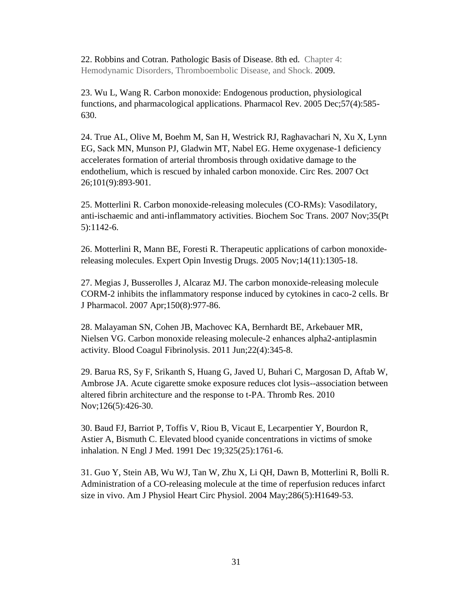22. Robbins and Cotran. Pathologic Basis of Disease. 8th ed. Chapter 4: Hemodynamic Disorders, Thromboembolic Disease, and Shock. 2009.

23. Wu L, Wang R. Carbon monoxide: Endogenous production, physiological functions, and pharmacological applications. Pharmacol Rev. 2005 Dec;57(4):585 630.

24. True AL, Olive M, Boehm M, San H, Westrick RJ, Raghavachari N, Xu X, Lynn EG, Sack MN, Munson PJ, Gladwin MT, Nabel EG. Heme oxygenase-1 deficiency accelerates formation of arterial thrombosis through oxidative damage to the endothelium, which is rescued by inhaled carbon monoxide. Circ Res. 2007 Oct 26;101(9):893-901.

25. Motterlini R. Carbon monoxide-releasing molecules (CO-RMs): Vasodilatory, anti-ischaemic and anti-inflammatory activities. Biochem Soc Trans. 2007 Nov;35(Pt 5):1142-6.

26. Motterlini R, Mann BE, Foresti R. Therapeutic applications of carbon monoxidereleasing molecules. Expert Opin Investig Drugs. 2005 Nov;14(11):1305-18.

27. Megias J, Busserolles J, Alcaraz MJ. The carbon monoxide-releasing molecule CORM-2 inhibits the inflammatory response induced by cytokines in caco-2 cells. Br J Pharmacol. 2007 Apr;150(8):977-86.

activity. Blood Coagul Fibrinolysis. 2011 Jun;22(4):345-8. 28. Malayaman SN, Cohen JB, Machovec KA, Bernhardt BE, Arkebauer MR, Nielsen VG. Carbon monoxide releasing molecule-2 enhances alpha2-antiplasmin

29. Barua RS, Sy F, Srikanth S, Huang G, Javed U, Buhari C, Margosan D, Aftab W, Ambrose JA. Acute cigarette smoke exposure reduces clot lysis--association between altered fibrin architecture and the response to t-PA. Thromb Res. 2010 Nov;126(5):426-30.

30. Baud FJ, Barriot P, Toffis V, Riou B, Vicaut E, Lecarpentier Y, Bourdon R, Astier A, Bismuth C. Elevated blood cyanide concentrations in victims of smoke inhalation. N Engl J Med. 1991 Dec 19;325(25):1761-6.

size in vivo. Am J Physiol Heart Circ Physiol. 2004 May;286(5):H1649-53.<br>
31 31. Guo Y, Stein AB, Wu WJ, Tan W, Zhu X, Li QH, Dawn B, Motterlini R, Bolli R. Administration of a CO-releasing molecule at the time of reperfusion reduces infarct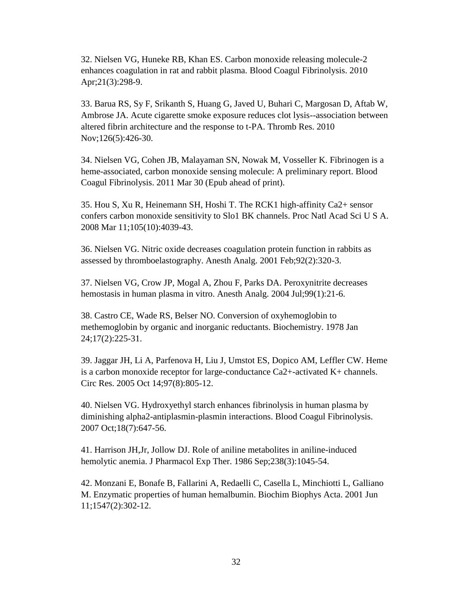32. Nielsen VG, Huneke RB, Khan ES. Carbon monoxide releasing molecule-2 enhances coagulation in rat and rabbit plasma. Blood Coagul Fibrinolysis. 2010 Apr;21(3):298-9.

33. Barua RS, Sy F, Srikanth S, Huang G, Javed U, Buhari C, Margosan D, Aftab W, Ambrose JA. Acute cigarette smoke exposure reduces clot lysis--association between altered fibrin architecture and the response to t-PA. Thromb Res. 2010 Nov;126(5):426-30.

Coagul Fibrinolysis. 2011 Mar 30 (Epub ahead of print). 34. Nielsen VG, Cohen JB, Malayaman SN, Nowak M, Vosseller K. Fibrinogen is a heme-associated, carbon monoxide sensing molecule: A preliminary report. Blood

35. Hou S, Xu R, Heinemann SH, Hoshi T. The RCK1 high-affinity Ca2+ sensor confers carbon monoxide sensitivity to Slo1 BK channels. Proc Natl Acad Sci U S A. 2008 Mar 11;105(10):4039-43.

36. Nielsen VG. Nitric oxide decreases coagulation protein function in rabbits as assessed by thromboelastography. Anesth Analg. 2001 Feb;92(2):320-3.

37. Nielsen VG, Crow JP, Mogal A, Zhou F, Parks DA. Peroxynitrite decreases hemostasis in human plasma in vitro. Anesth Analg. 2004 Jul;99(1):21-6.

38. Castro CE, Wade RS, Belser NO. Conversion of oxyhemoglobin to methemoglobin by organic and inorganic reductants. Biochemistry. 1978 Jan 24;17(2):225-31.

39. Jaggar JH, Li A, Parfenova H, Liu J, Umstot ES, Dopico AM, Leffler CW. Heme is a carbon monoxide receptor for large-conductance Ca2+-activated K+ channels. Circ Res. 2005 Oct 14;97(8):805-12.

40. Nielsen VG. Hydroxyethyl starch enhances fibrinolysis in human plasma by diminishing alpha2-antiplasmin-plasmin interactions. Blood Coagul Fibrinolysis. 2007 Oct;18(7):647-56.

41. Harrison JH,Jr, Jollow DJ. Role of aniline metabolites in aniline-induced hemolytic anemia. J Pharmacol Exp Ther. 1986 Sep;238(3):1045-54.

42. Monzani E, Bonafe B, Fallarini A, Redaelli C, Casella L, Minchiotti L, Galliano M. Enzymatic properties of human hemalbumin. Biochim Biophys Acta. 2001 Jun 11;1547(2):302-12.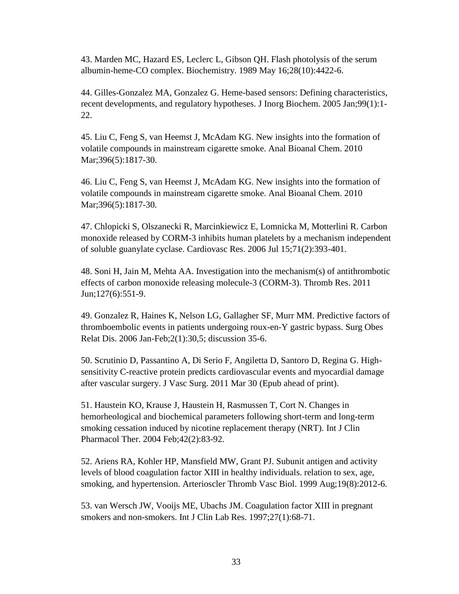43. Marden MC, Hazard ES, Leclerc L, Gibson QH. Flash photolysis of the serum albumin-heme-CO complex. Biochemistry. 1989 May 16;28(10):4422-6.

44. Gilles-Gonzalez MA, Gonzalez G. Heme-based sensors: Defining characteristics, recent developments, and regulatory hypotheses. J Inorg Biochem. 2005 Jan;99(1):1 22.

45. Liu C, Feng S, van Heemst J, McAdam KG. New insights into the formation of volatile compounds in mainstream cigarette smoke. Anal Bioanal Chem. 2010 Mar; 396(5): 1817-30.

46. Liu C, Feng S, van Heemst J, McAdam KG. New insights into the formation of volatile compounds in mainstream cigarette smoke. Anal Bioanal Chem. 2010 Mar;396(5):1817-30.

47. Chlopicki S, Olszanecki R, Marcinkiewicz E, Lomnicka M, Motterlini R. Carbon monoxide released by CORM-3 inhibits human platelets by a mechanism independent of soluble guanylate cyclase. Cardiovasc Res. 2006 Jul 15;71(2):393-401.

48. Soni H, Jain M, Mehta AA. Investigation into the mechanism(s) of antithrombotic effects of carbon monoxide releasing molecule-3 (CORM-3). Thromb Res. 2011 Jun;127(6):551-9.

49. Gonzalez R, Haines K, Nelson LG, Gallagher SF, Murr MM. Predictive factors of thromboembolic events in patients undergoing roux-en-Y gastric bypass. Surg Obes Relat Dis. 2006 Jan-Feb;2(1):30,5; discussion 35-6.

 after vascular surgery. J Vasc Surg. 2011 Mar 30 (Epub ahead of print). 51. Haustein KO, Krause J, Haustein H, Rasmussen T, Cort N. Changes in 50. Scrutinio D, Passantino A, Di Serio F, Angiletta D, Santoro D, Regina G. Highsensitivity C-reactive protein predicts cardiovascular events and myocardial damage

hemorheological and biochemical parameters following short-term and long-term smoking cessation induced by nicotine replacement therapy (NRT). Int J Clin Pharmacol Ther. 2004 Feb;42(2):83-92.

52. Ariens RA, Kohler HP, Mansfield MW, Grant PJ. Subunit antigen and activity levels of blood coagulation factor XIII in healthy individuals. relation to sex, age, smoking, and hypertension. Arterioscler Thromb Vasc Biol. 1999 Aug;19(8):2012-6.

53. van Wersch JW, Vooijs ME, Ubachs JM. Coagulation factor XIII in pregnant smokers and non-smokers. Int J Clin Lab Res. 1997;27(1):68-71.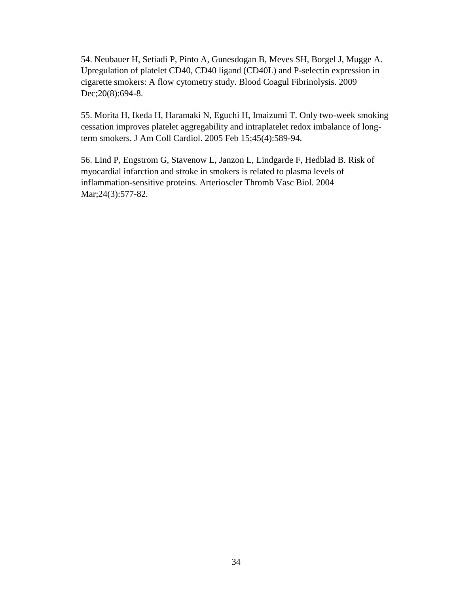54. Neubauer H, Setiadi P, Pinto A, Gunesdogan B, Meves SH, Borgel J, Mugge A. Upregulation of platelet CD40, CD40 ligand (CD40L) and P-selectin expression in cigarette smokers: A flow cytometry study. Blood Coagul Fibrinolysis. 2009 Dec; 20(8): 694-8.

55. Morita H, Ikeda H, Haramaki N, Eguchi H, Imaizumi T. Only two-week smoking cessation improves platelet aggregability and intraplatelet redox imbalance of longterm smokers. J Am Coll Cardiol. 2005 Feb 15;45(4):589-94.

 56. Lind P, Engstrom G, Stavenow L, Janzon L, Lindgarde F, Hedblad B. Risk of myocardial infarction and stroke in smokers is related to plasma levels of inflammation-sensitive proteins. Arterioscler Thromb Vasc Biol. 2004 Mar; 24(3): 577-82.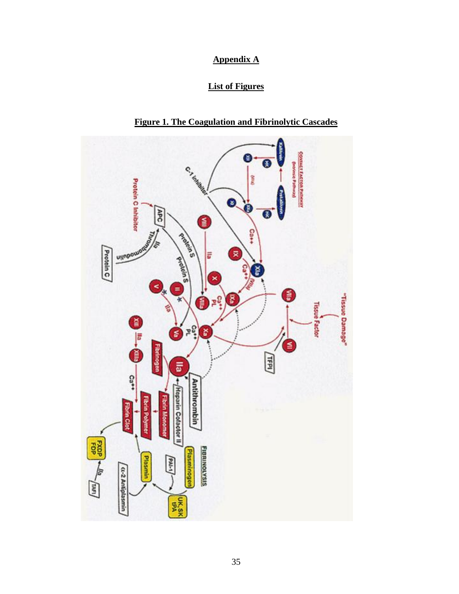### **Appendix A**

### **List of Figures**

<span id="page-40-0"></span>

**Figure 1. The Coagulation and Fibrinolytic Cascades**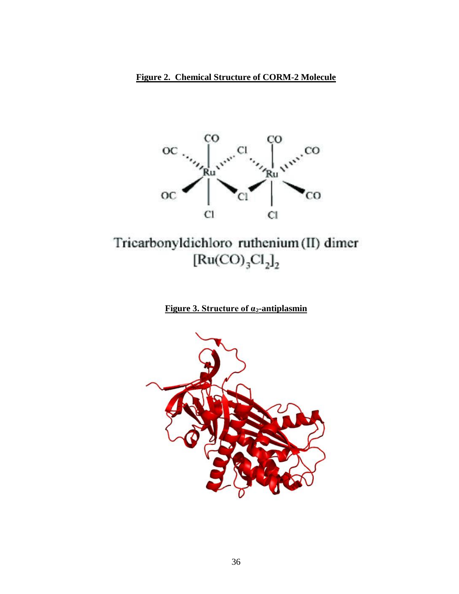

# Tricarbonyldichloro ruthenium (II) dimer  $[Ru(CO)<sub>3</sub>Cl<sub>2</sub>]<sub>2</sub>$

## **Figure 3. Structure of α<sub>2</sub>-antiplasmin**

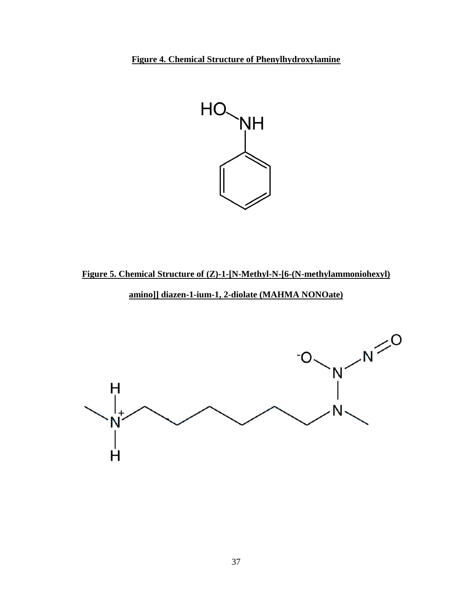**Figure 4. Chemical Structure of Phenylhydroxylamine** 



**Figure 5. Chemical Structure of (Z)-1-[N-Methyl-N-[6-(N-methylammoniohexyl)** 

 **amino]] diazen-1-ium-1, 2-diolate (MAHMA NONOate)** 

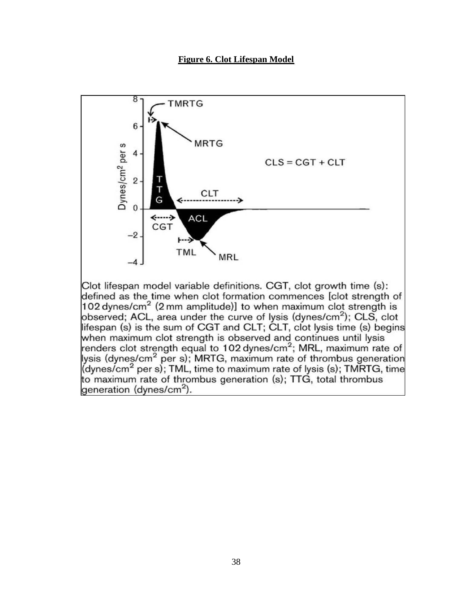**Figure 6. Clot Lifespan Model** 

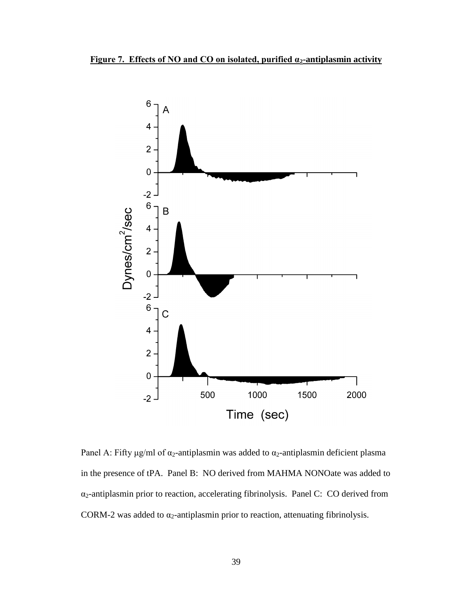



CORM-2 was added to  $\alpha_2$ -antiplasmin prior to reaction, attenuating fibrinolysis. Panel A: Fifty μg/ml of  $\alpha_2$ -antiplasmin was added to  $\alpha_2$ -antiplasmin deficient plasma in the presence of tPA. Panel B: NO derived from MAHMA NONOate was added to α2-antiplasmin prior to reaction, accelerating fibrinolysis. Panel C: CO derived from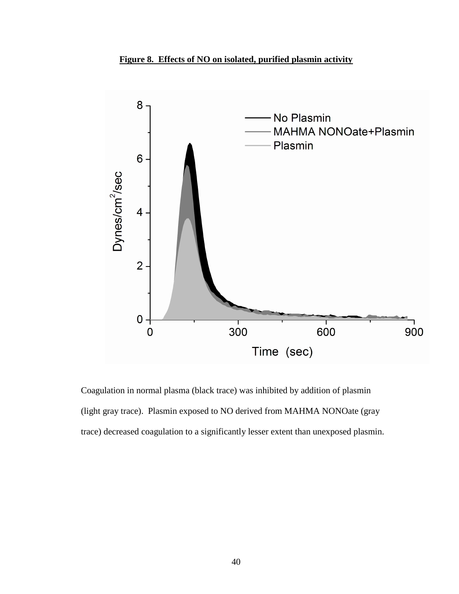



Coagulation in normal plasma (black trace) was inhibited by addition of plasmin (light gray trace). Plasmin exposed to NO derived from MAHMA NONOate (gray trace) decreased coagulation to a significantly lesser extent than unexposed plasmin.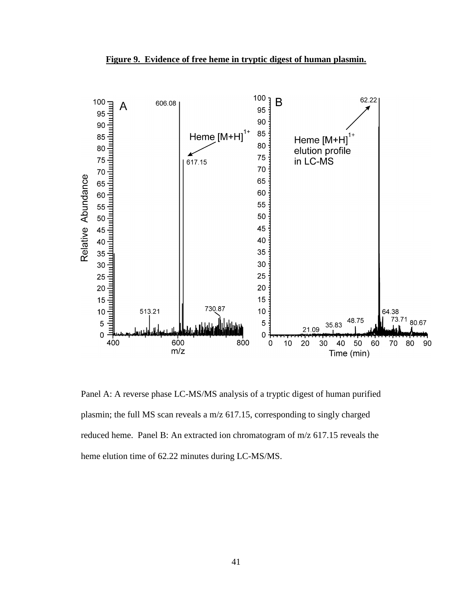



 Panel A: A reverse phase LC-MS/MS analysis of a tryptic digest of human purified reduced heme. Panel B: An extracted ion chromatogram of m/z 617.15 reveals the heme elution time of 62.22 minutes during LC-MS/MS. plasmin; the full MS scan reveals a m/z 617.15, corresponding to singly charged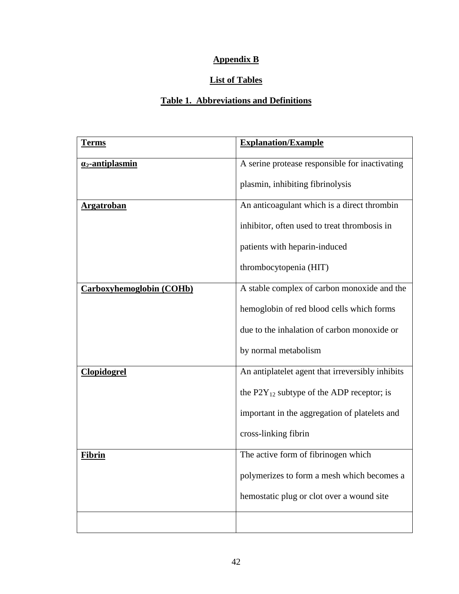## **Appendix B**

### **List of Tables**

## **Table 1. Abbreviations and Definitions**

| <b>Terms</b>                    | <b>Explanation/Example</b>                       |
|---------------------------------|--------------------------------------------------|
| $a_2$ -antiplasmin              | A serine protease responsible for inactivating   |
|                                 | plasmin, inhibiting fibrinolysis                 |
| <u>Argatroban</u>               | An anticoagulant which is a direct thrombin      |
|                                 | inhibitor, often used to treat thrombosis in     |
|                                 | patients with heparin-induced                    |
|                                 | thrombocytopenia (HIT)                           |
| <b>Carboxyhemoglobin (COHb)</b> | A stable complex of carbon monoxide and the      |
|                                 | hemoglobin of red blood cells which forms        |
|                                 | due to the inhalation of carbon monoxide or      |
|                                 | by normal metabolism                             |
| <b>Clopidogrel</b>              | An antiplatelet agent that irreversibly inhibits |
|                                 | the $P2Y_{12}$ subtype of the ADP receptor; is   |
|                                 | important in the aggregation of platelets and    |
|                                 | cross-linking fibrin                             |
| <u>Fibrin</u>                   | The active form of fibrinogen which              |
|                                 | polymerizes to form a mesh which becomes a       |
|                                 | hemostatic plug or clot over a wound site        |
|                                 |                                                  |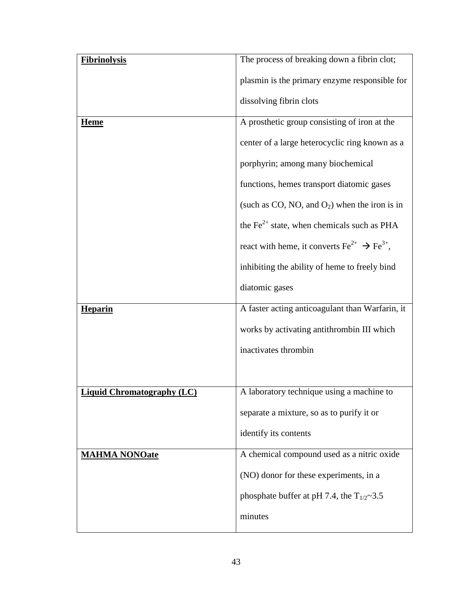| <b>Fibrinolysis</b>               | The process of breaking down a fibrin clot;                                |
|-----------------------------------|----------------------------------------------------------------------------|
|                                   | plasmin is the primary enzyme responsible for                              |
|                                   | dissolving fibrin clots                                                    |
| <b>Heme</b>                       | A prosthetic group consisting of iron at the                               |
|                                   | center of a large heterocyclic ring known as a                             |
|                                   | porphyrin; among many biochemical                                          |
|                                   | functions, hemes transport diatomic gases                                  |
|                                   | (such as CO, NO, and $O_2$ ) when the iron is in                           |
|                                   | the $\text{Fe}^{2+}$ state, when chemicals such as PHA                     |
|                                   | react with heme, it converts $\text{Fe}^{2+} \rightarrow \text{Fe}^{3+}$ , |
|                                   | inhibiting the ability of heme to freely bind                              |
|                                   | diatomic gases                                                             |
| <b>Heparin</b>                    | A faster acting anticoagulant than Warfarin, it                            |
|                                   | works by activating antithrombin III which                                 |
|                                   | inactivates thrombin                                                       |
|                                   |                                                                            |
| <b>Liquid Chromatography (LC)</b> | A laboratory technique using a machine to                                  |
|                                   | separate a mixture, so as to purify it or                                  |
|                                   | identify its contents                                                      |
| <b>MAHMA NONOate</b>              | A chemical compound used as a nitric oxide                                 |
|                                   | (NO) donor for these experiments, in a                                     |
|                                   | phosphate buffer at pH 7.4, the $T_{1/2}$ ~3.5                             |
|                                   | minutes                                                                    |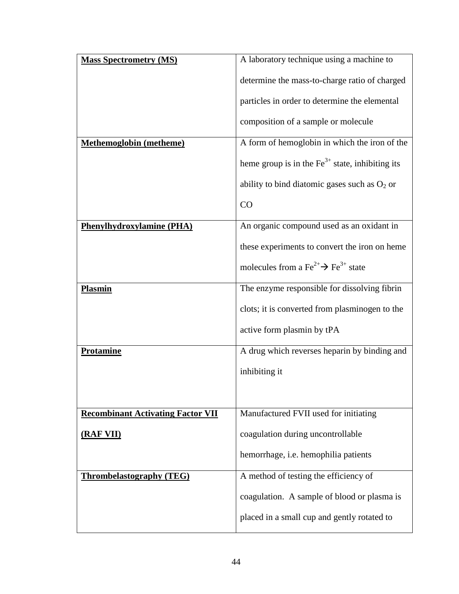| <b>Mass Spectrometry (MS)</b>            | A laboratory technique using a machine to                              |
|------------------------------------------|------------------------------------------------------------------------|
|                                          | determine the mass-to-charge ratio of charged                          |
|                                          | particles in order to determine the elemental                          |
|                                          | composition of a sample or molecule                                    |
| <b>Methemoglobin</b> (metheme)           | A form of hemoglobin in which the iron of the                          |
|                                          | heme group is in the $\text{Fe}^{3+}$ state, inhibiting its            |
|                                          | ability to bind diatomic gases such as $O_2$ or                        |
|                                          | CO                                                                     |
| <b>Phenylhydroxylamine (PHA)</b>         | An organic compound used as an oxidant in                              |
|                                          | these experiments to convert the iron on heme                          |
|                                          | molecules from a Fe <sup>2+</sup> $\rightarrow$ Fe <sup>3+</sup> state |
| <b>Plasmin</b>                           | The enzyme responsible for dissolving fibrin                           |
|                                          | clots; it is converted from plasminogen to the                         |
|                                          | active form plasmin by tPA                                             |
| <b>Protamine</b>                         | A drug which reverses heparin by binding and                           |
|                                          | inhibiting it                                                          |
|                                          |                                                                        |
| <b>Recombinant Activating Factor VII</b> | Manufactured FVII used for initiating                                  |
| (RAF VII)                                | coagulation during uncontrollable                                      |
|                                          | hemorrhage, i.e. hemophilia patients                                   |
| <b>Thrombelastography (TEG)</b>          | A method of testing the efficiency of                                  |
|                                          | coagulation. A sample of blood or plasma is                            |
|                                          | placed in a small cup and gently rotated to                            |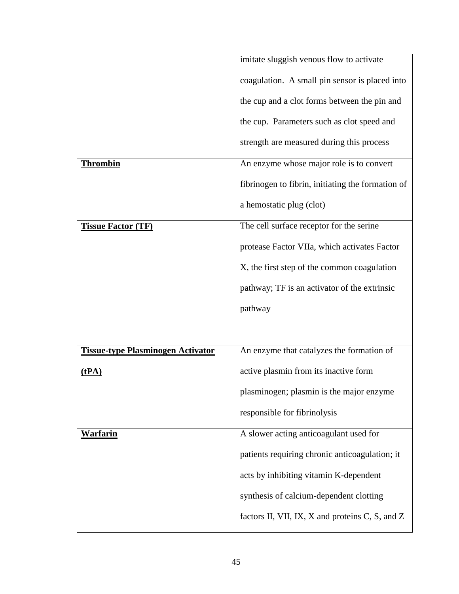|                                          | imitate sluggish venous flow to activate          |
|------------------------------------------|---------------------------------------------------|
|                                          | coagulation. A small pin sensor is placed into    |
|                                          | the cup and a clot forms between the pin and      |
|                                          | the cup. Parameters such as clot speed and        |
|                                          | strength are measured during this process         |
| <b>Thrombin</b>                          | An enzyme whose major role is to convert          |
|                                          | fibrinogen to fibrin, initiating the formation of |
|                                          | a hemostatic plug (clot)                          |
| <b>Tissue Factor (TF)</b>                | The cell surface receptor for the serine          |
|                                          | protease Factor VIIa, which activates Factor      |
|                                          | X, the first step of the common coagulation       |
|                                          | pathway; TF is an activator of the extrinsic      |
|                                          | pathway                                           |
|                                          |                                                   |
| <b>Tissue-type Plasminogen Activator</b> | An enzyme that catalyzes the formation of         |
| (tPA)                                    | active plasmin from its inactive form             |
|                                          | plasminogen; plasmin is the major enzyme          |
|                                          | responsible for fibrinolysis                      |
| <u>Warfarin</u>                          | A slower acting anticoagulant used for            |
|                                          | patients requiring chronic anticoagulation; it    |
|                                          | acts by inhibiting vitamin K-dependent            |
|                                          | synthesis of calcium-dependent clotting           |
|                                          | factors II, VII, IX, X and proteins C, S, and Z   |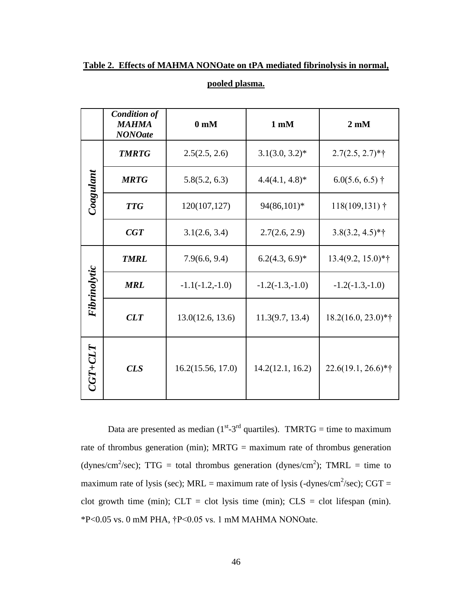|                | <b>Condition of</b><br><b>MAHMA</b><br><b>NONOate</b> | 0 <sub>m</sub> M  | $1 \text{ mM}$    | $2 \text{ mM}$               |
|----------------|-------------------------------------------------------|-------------------|-------------------|------------------------------|
|                | <b>TMRTG</b>                                          | 2.5(2.5, 2.6)     | $3.1(3.0, 3.2)^*$ | $2.7(2.5, 2.7)*{\dagger}$    |
| $\it{Cogulum}$ | <b>MRTG</b>                                           | 5.8(5.2, 6.3)     | $4.4(4.1, 4.8)*$  | $6.0(5.6, 6.5)$ †            |
|                | <b>TTG</b>                                            | 120(107,127)      | 94(86,101)*       | $118(109,131)$ <sup>†</sup>  |
|                | CGT                                                   | 3.1(2.6, 3.4)     | 2.7(2.6, 2.9)     | $3.8(3.2, 4.5)*{\dagger}$    |
|                | <b>TMRL</b>                                           | 7.9(6.6, 9.4)     | $6.2(4.3, 6.9)^*$ | $13.4(9.2, 15.0)*{\dagger}$  |
| Fibrinolytic   | <b>MRL</b>                                            | $-1.1(-1.2,-1.0)$ | $-1.2(-1.3,-1.0)$ | $-1.2(-1.3,-1.0)$            |
|                | CLT                                                   | 13.0(12.6, 13.6)  | 11.3(9.7, 13.4)   | $18.2(16.0, 23.0)*{\dagger}$ |
| $CGT+CLT$      | <b>CLS</b>                                            | 16.2(15.56, 17.0) | 14.2(12.1, 16.2)  | 22.6(19.1, 26.6)*†           |

**Table 2. Effects of MAHMA NONOate on tPA mediated fibrinolysis in normal,** 

Data are presented as median ( $1<sup>st</sup> - 3<sup>rd</sup>$  quartiles). TMRTG = time to maximum (dynes/cm<sup>2</sup>/sec); TTG = total thrombus generation (dynes/cm<sup>2</sup>); TMRL = time to maximum rate of lysis (sec); MRL = maximum rate of lysis (-dynes/cm<sup>2</sup>/sec); CGT = clot growth time (min);  $CLT = clot$  lysis time (min);  $CLS = clot$  lifespan (min). rate of thrombus generation (min); MRTG = maximum rate of thrombus generation \*P<0.05 vs. 0 mM PHA, †P<0.05 vs. 1 mM MAHMA NONOate.

**pooled plasma.**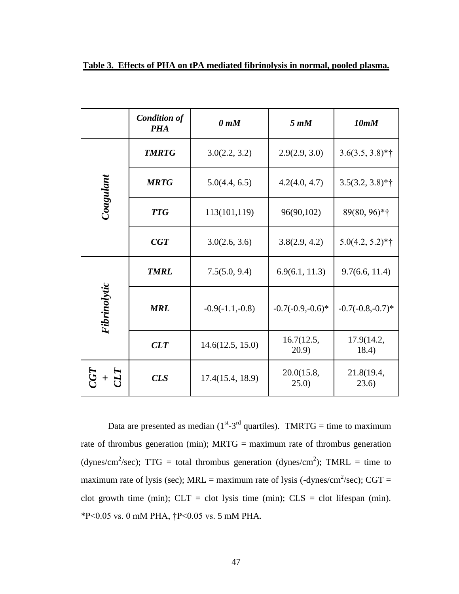|                          | <b>Condition of</b><br><b>PHA</b> | 0 <sub>mM</sub>   | $5 \, mM$           | 10mM                      |
|--------------------------|-----------------------------------|-------------------|---------------------|---------------------------|
|                          | <b>TMRTG</b>                      | 3.0(2.2, 3.2)     | 2.9(2.9, 3.0)       | $3.6(3.5, 3.8)*{\dagger}$ |
| Coagulant                | <b>MRTG</b>                       | 5.0(4.4, 6.5)     | 4.2(4.0, 4.7)       | $3.5(3.2, 3.8)*{\dagger}$ |
|                          | <b>TTG</b>                        | 113(101,119)      | 96(90,102)          | 89(80, 96)*†              |
|                          | CGT                               | 3.0(2.6, 3.6)     | 3.8(2.9, 4.2)       | $5.0(4.2, 5.2)*{\dagger}$ |
|                          | <b>TMRL</b>                       | 7.5(5.0, 9.4)     | 6.9(6.1, 11.3)      | 9.7(6.6, 11.4)            |
| Fibrinolytic             | <b>MRL</b>                        | $-0.9(-1.1,-0.8)$ | $-0.7(-0.9,-0.6)*$  | $-0.7(-0.8,-0.7)*$        |
|                          | CLT                               | 14.6(12.5, 15.0)  | 16.7(12.5,<br>20.9) | 17.9(14.2,<br>18.4)       |
| $\mathcal{I}\mathcal{I}$ | <b>CLS</b>                        | 17.4(15.4, 18.9)  | 20.0(15.8,<br>25.0) | 21.8(19.4,<br>(23.6)      |

**Table 3. Effects of PHA on tPA mediated fibrinolysis in normal, pooled plasma.** 

Data are presented as median ( $1<sup>st</sup> - 3<sup>rd</sup>$  quartiles). TMRTG = time to maximum (dynes/cm<sup>2</sup>/sec); TTG = total thrombus generation (dynes/cm<sup>2</sup>); TMRL = time to maximum rate of lysis (sec); MRL = maximum rate of lysis (-dynes/cm<sup>2</sup>/sec); CGT = clot growth time (min);  $CLT = clot$  lysis time (min);  $CLS = clot$  lifespan (min). \*P<0.05 vs. 0 mM PHA, †P<0.05 vs. 5 mM PHA. rate of thrombus generation (min); MRTG = maximum rate of thrombus generation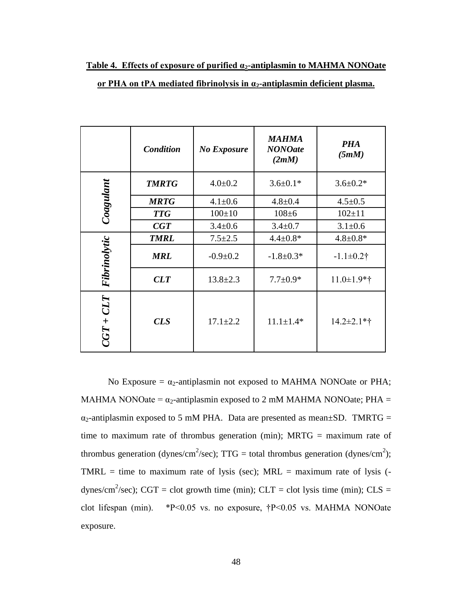|              | <b>Condition</b> | <b>No Exposure</b> | <b>MAHMA</b><br><b>NONOate</b><br>(2mM) | <b>PHA</b><br>(5mM) |
|--------------|------------------|--------------------|-----------------------------------------|---------------------|
| Coagulant    | <b>TMRTG</b>     | $4.0 + 0.2$        | $3.6 \pm 0.1*$                          | $3.6 \pm 0.2*$      |
|              | <b>MRTG</b>      | $4.1 \pm 0.6$      | $4.8 + 0.4$                             | $4.5 \pm 0.5$       |
|              | <b>TTG</b>       | $100 \pm 10$       | $108 + 6$                               | $102 \pm 11$        |
|              | CGT              | $3.4 \pm 0.6$      | $3.4 \pm 0.7$                           | $3.1 \pm 0.6$       |
|              | <b>TMRL</b>      | $7.5 \pm 2.5$      | $4.4 \pm 0.8*$                          | $4.8 \pm 0.8*$      |
| Fibrinolytic | <b>MRL</b>       | $-0.9 + 0.2$       | $-1.8+0.3*$                             | $-1.1 \pm 0.2$ †    |
|              | CLT              | $13.8 \pm 2.3$     | $7.7 \pm 0.9*$                          | $11.0 \pm 1.9$ *†   |
| $CGT+CLT$    | $CLS$            | $17.1 \pm 2.2$     | $11.1 \pm 1.4*$                         | $14.2 \pm 2.1$ *†   |

**Table 4. Effects of exposure of purified α2-antiplasmin to MAHMA NONOate or PHA on tPA mediated fibrinolysis in α2-antiplasmin deficient plasma.** 

No Exposure  $=\alpha_2$ -antiplasmin not exposed to MAHMA NONOate or PHA; MAHMA NONOate =  $\alpha_2$ -antiplasmin exposed to 2 mM MAHMA NONOate; PHA =  $\alpha_2$ -antiplasmin exposed to 5 mM PHA. Data are presented as mean $\pm$ SD. TMRTG = time to maximum rate of thrombus generation (min); MRTG = maximum rate of thrombus generation (dynes/cm<sup>2</sup>/sec); TTG = total thrombus generation (dynes/cm<sup>2</sup>); TMRL = time to maximum rate of lysis (sec);  $MRL =$  maximum rate of lysis ( dynes/cm<sup>2</sup>/sec); CGT = clot growth time (min); CLT = clot lysis time (min); CLS = clot lifespan (min). \*P<0.05 vs. no exposure, †P<0.05 vs. MAHMA NONOate exposure.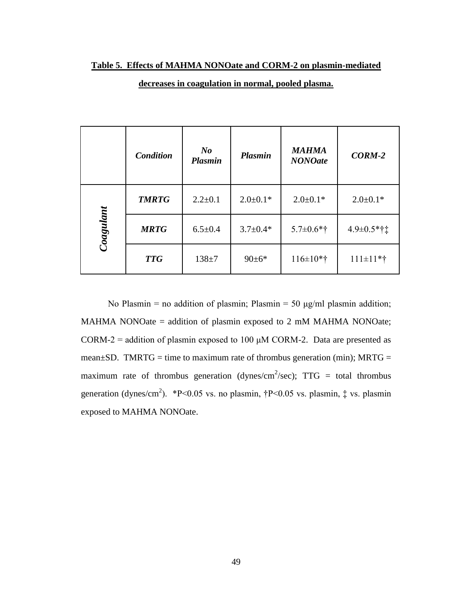#### **Table 5. Effects of MAHMA NONOate and CORM-2 on plasmin-mediated**

|           | <b>Condition</b> | $\bm{N}$<br><b>Plasmin</b> | <b>Plasmin</b> | <b>MAHMA</b><br><b>NONOate</b> | $CORM-2$                    |
|-----------|------------------|----------------------------|----------------|--------------------------------|-----------------------------|
|           | <b>TMRTG</b>     | $2.2 \pm 0.1$              | $2.0 \pm 0.1*$ | $2.0 \pm 0.1*$                 | $2.0 \pm 0.1*$              |
| Coagulant | <b>MRTG</b>      | $6.5 \pm 0.4$              | $3.7 \pm 0.4*$ | $5.7 \pm 0.6*$ †               | $4.9 \pm 0.5$ *† $\ddagger$ |
|           | <b>TTG</b>       | $138 + 7$                  | $90 \pm 6*$    | $116 \pm 10*$ †                | $111 \pm 11$ *†             |

#### **decreases in coagulation in normal, pooled plasma.**

No Plasmin = no addition of plasmin; Plasmin = 50  $\mu$ g/ml plasmin addition; MAHMA NONOate = addition of plasmin exposed to 2 mM MAHMA NONOate; CORM-2 = addition of plasmin exposed to 100  $\mu$ M CORM-2. Data are presented as maximum rate of thrombus generation (dynes/cm<sup>2</sup>/sec);  $TTG =$  total thrombus mean $\pm$ SD. TMRTG = time to maximum rate of thrombus generation (min); MRTG = generation (dynes/cm<sup>2</sup>). \*P<0.05 vs. no plasmin,  $\uparrow$ P<0.05 vs. plasmin,  $\downarrow$  vs. plasmin exposed to MAHMA NONOate.